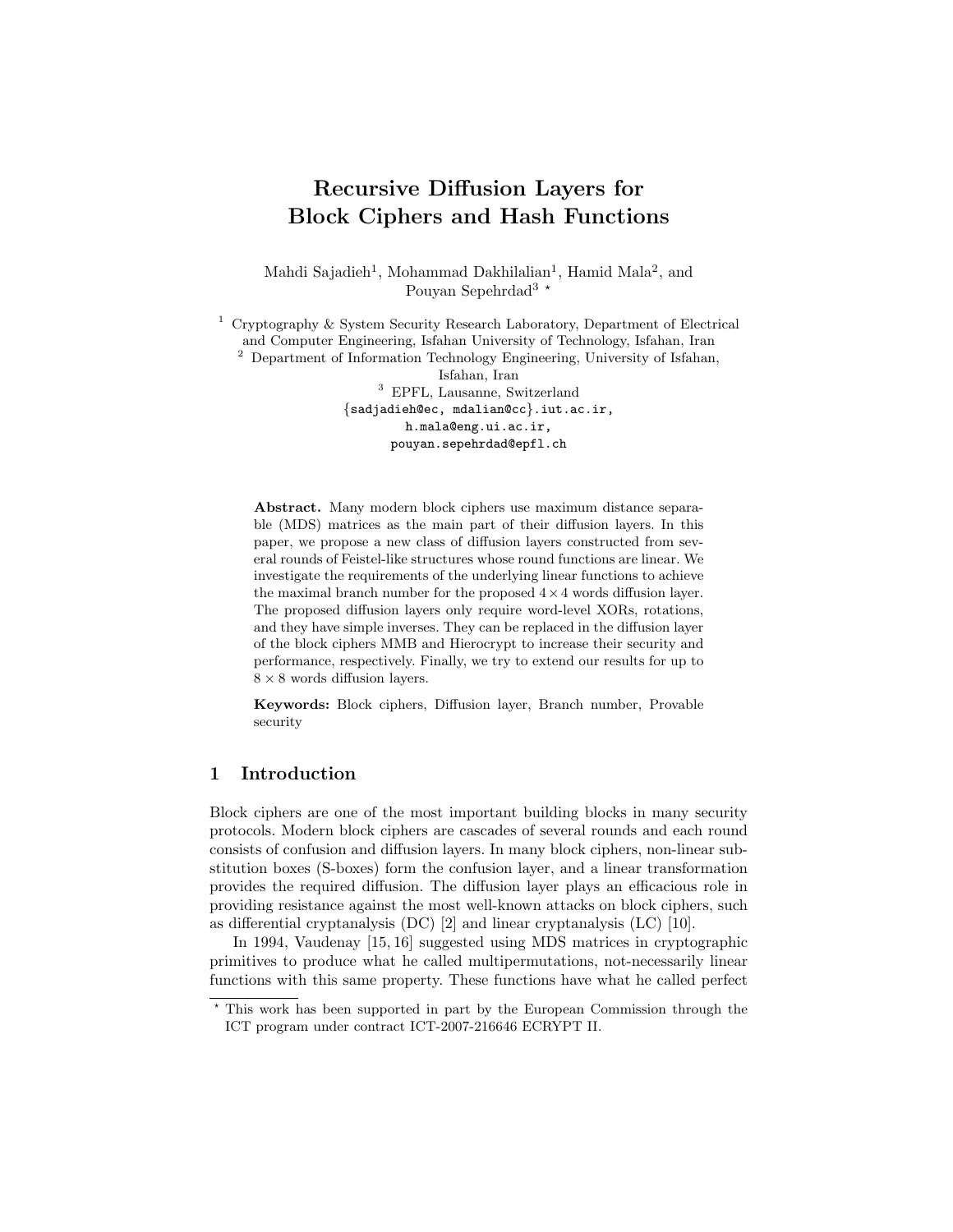# Recursive Diffusion Layers for Block Ciphers and Hash Functions

Mahdi Sajadieh<sup>1</sup>, Mohammad Dakhilalian<sup>1</sup>, Hamid Mala<sup>2</sup>, and Pouyan Sepehrdad<sup>3  $\star$ </sup>

<sup>1</sup> Cryptography & System Security Research Laboratory, Department of Electrical and Computer Engineering, Isfahan University of Technology, Isfahan, Iran <sup>2</sup> Department of Information Technology Engineering, University of Isfahan, Isfahan, Iran <sup>3</sup> EPFL, Lausanne, Switzerland {sadjadieh@ec, mdalian@cc}.iut.ac.ir, h.mala@eng.ui.ac.ir,

pouyan.sepehrdad@epfl.ch

Abstract. Many modern block ciphers use maximum distance separable (MDS) matrices as the main part of their diffusion layers. In this paper, we propose a new class of diffusion layers constructed from several rounds of Feistel-like structures whose round functions are linear. We investigate the requirements of the underlying linear functions to achieve the maximal branch number for the proposed  $4 \times 4$  words diffusion layer. The proposed diffusion layers only require word-level XORs, rotations, and they have simple inverses. They can be replaced in the diffusion layer of the block ciphers MMB and Hierocrypt to increase their security and performance, respectively. Finally, we try to extend our results for up to  $8 \times 8$  words diffusion layers.

Keywords: Block ciphers, Diffusion layer, Branch number, Provable security

## 1 Introduction

Block ciphers are one of the most important building blocks in many security protocols. Modern block ciphers are cascades of several rounds and each round consists of confusion and diffusion layers. In many block ciphers, non-linear substitution boxes (S-boxes) form the confusion layer, and a linear transformation provides the required diffusion. The diffusion layer plays an efficacious role in providing resistance against the most well-known attacks on block ciphers, such as differential cryptanalysis (DC) [2] and linear cryptanalysis (LC) [10].

In 1994, Vaudenay [15, 16] suggested using MDS matrices in cryptographic primitives to produce what he called multipermutations, not-necessarily linear functions with this same property. These functions have what he called perfect

<sup>?</sup> This work has been supported in part by the European Commission through the ICT program under contract ICT-2007-216646 ECRYPT II.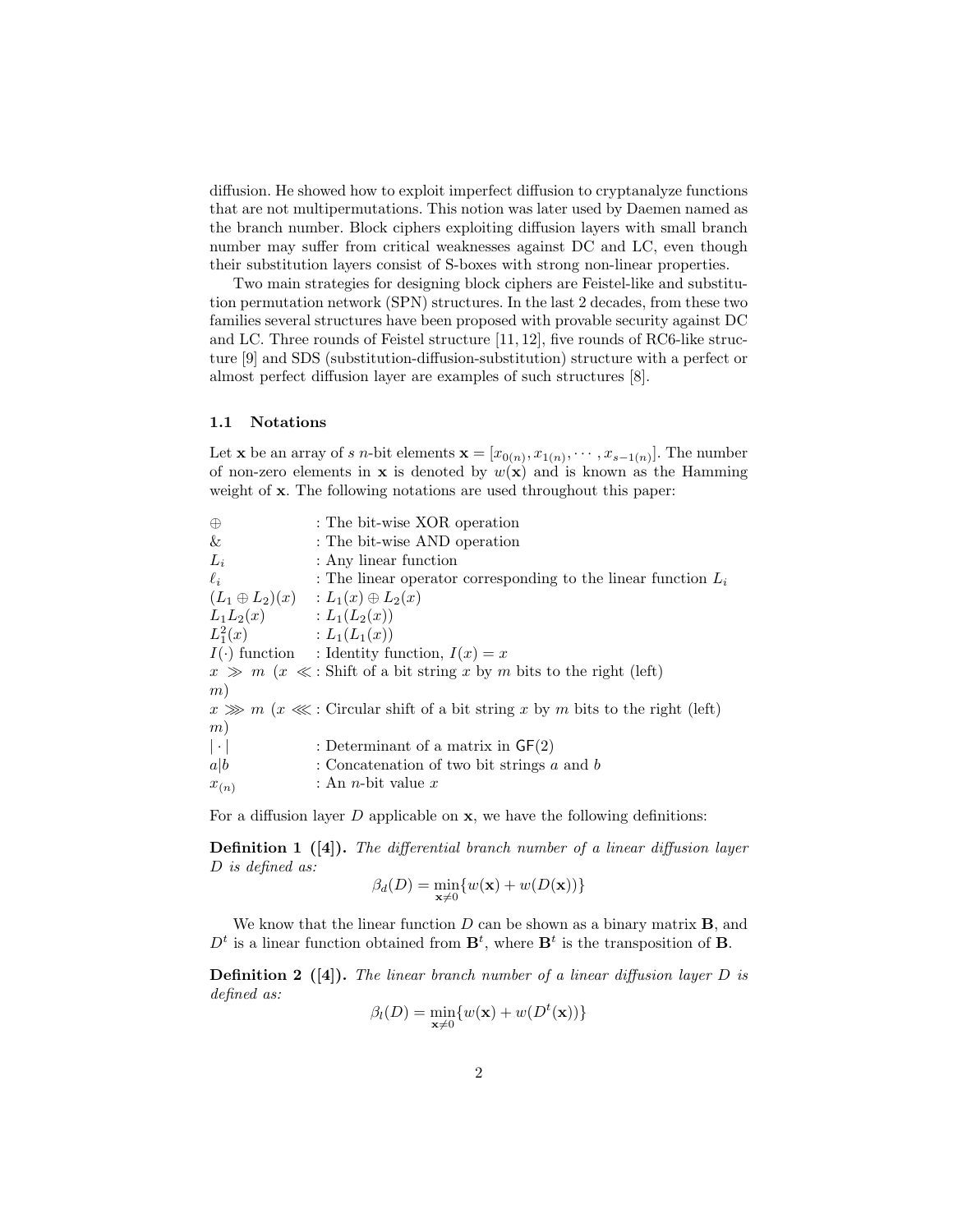diffusion. He showed how to exploit imperfect diffusion to cryptanalyze functions that are not multipermutations. This notion was later used by Daemen named as the branch number. Block ciphers exploiting diffusion layers with small branch number may suffer from critical weaknesses against DC and LC, even though their substitution layers consist of S-boxes with strong non-linear properties.

Two main strategies for designing block ciphers are Feistel-like and substitution permutation network (SPN) structures. In the last 2 decades, from these two families several structures have been proposed with provable security against DC and LC. Three rounds of Feistel structure [11, 12], five rounds of RC6-like structure [9] and SDS (substitution-diffusion-substitution) structure with a perfect or almost perfect diffusion layer are examples of such structures [8].

#### 1.1 Notations

Let **x** be an array of s n-bit elements  $\mathbf{x} = [x_{0(n)}, x_{1(n)}, \cdots, x_{s-1(n)}].$  The number of non-zero elements in **x** is denoted by  $w(\mathbf{x})$  and is known as the Hamming weight of  $x$ . The following notations are used throughout this paper:

| $\oplus$                    | : The bit-wise XOR operation                                                           |
|-----------------------------|----------------------------------------------------------------------------------------|
| &                           | : The bit-wise AND operation                                                           |
| $L_i$                       | : Any linear function                                                                  |
| $\ell_i$                    | : The linear operator corresponding to the linear function $L_i$                       |
|                             | $(L_1 \oplus L_2)(x) : L_1(x) \oplus L_2(x)$                                           |
| $L_1L_2(x)$ : $L_1(L_2(x))$ |                                                                                        |
| $L_1^2(x)$                  | $:L_1(L_1(x))$                                                                         |
|                             | $I(\cdot)$ function : Identity function, $I(x) = x$                                    |
|                             | $x \gg m$ $(x \ll$ : Shift of a bit string x by m bits to the right (left)             |
| (m)                         |                                                                                        |
|                             | $x \gg m$ ( $x \ll 1$ : Circular shift of a bit string x by m bits to the right (left) |
| (m)                         |                                                                                        |
| $ \cdot $                   | : Determinant of a matrix in $GF(2)$                                                   |
| a b                         | : Concatenation of two bit strings $a$ and $b$                                         |
| $x_{(n)}$                   | : An <i>n</i> -bit value $x$                                                           |
|                             |                                                                                        |

For a diffusion layer  $D$  applicable on  $x$ , we have the following definitions:

Definition 1 ([4]). The differential branch number of a linear diffusion layer D is defined as:

$$
\beta_d(D) = \min_{\mathbf{x} \neq 0} \{ w(\mathbf{x}) + w(D(\mathbf{x})) \}
$$

We know that the linear function  $D$  can be shown as a binary matrix  $B$ , and  $D<sup>t</sup>$  is a linear function obtained from  $\mathbf{B}^{t}$ , where  $\mathbf{B}^{t}$  is the transposition of **B**.

**Definition 2** ([4]). The linear branch number of a linear diffusion layer  $D$  is defined as:

$$
\beta_l(D) = \min_{\mathbf{x} \neq 0} \{ w(\mathbf{x}) + w(D^t(\mathbf{x})) \}
$$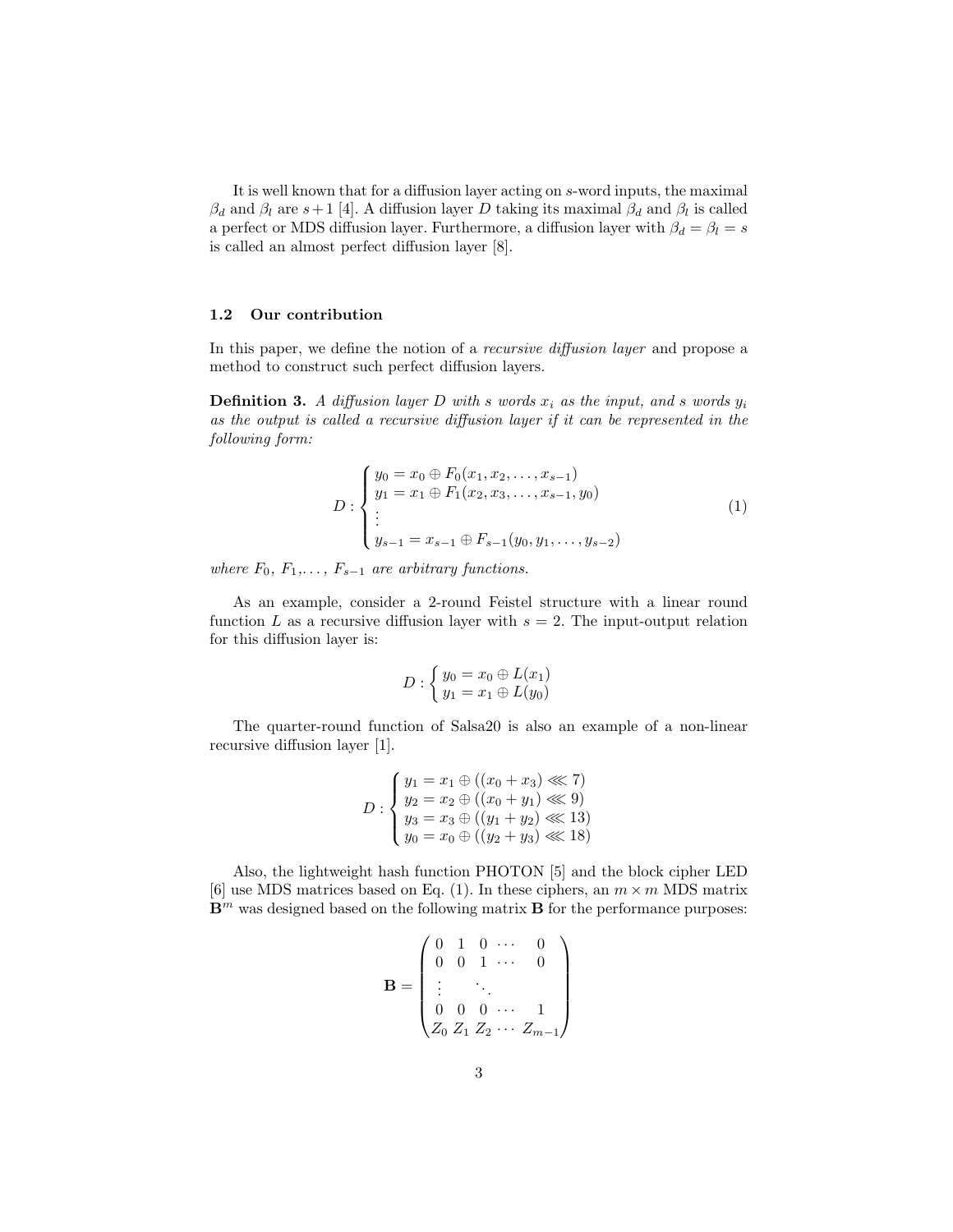It is well known that for a diffusion layer acting on s-word inputs, the maximal  $\beta_d$  and  $\beta_l$  are  $s+1$  [4]. A diffusion layer D taking its maximal  $\beta_d$  and  $\beta_l$  is called a perfect or MDS diffusion layer. Furthermore, a diffusion layer with  $\beta_d = \beta_l = s$ is called an almost perfect diffusion layer [8].

#### 1.2 Our contribution

In this paper, we define the notion of a *recursive diffusion layer* and propose a method to construct such perfect diffusion layers.

**Definition 3.** A diffusion layer D with s words  $x_i$  as the input, and s words  $y_i$ as the output is called a recursive diffusion layer if it can be represented in the following form:

$$
D: \begin{cases} y_0 = x_0 \oplus F_0(x_1, x_2, \dots, x_{s-1}) \\ y_1 = x_1 \oplus F_1(x_2, x_3, \dots, x_{s-1}, y_0) \\ \vdots \\ y_{s-1} = x_{s-1} \oplus F_{s-1}(y_0, y_1, \dots, y_{s-2}) \end{cases} \tag{1}
$$

where  $F_0, F_1, \ldots, F_{s-1}$  are arbitrary functions.

As an example, consider a 2-round Feistel structure with a linear round function L as a recursive diffusion layer with  $s = 2$ . The input-output relation for this diffusion layer is:

$$
D: \begin{cases} y_0 = x_0 \oplus L(x_1) \\ y_1 = x_1 \oplus L(y_0) \end{cases}
$$

The quarter-round function of Salsa20 is also an example of a non-linear recursive diffusion layer [1].

$$
D: \begin{cases} y_1 = x_1 \oplus ((x_0 + x_3) \lll 7) \\ y_2 = x_2 \oplus ((x_0 + y_1) \lll 9) \\ y_3 = x_3 \oplus ((y_1 + y_2) \lll 13) \\ y_0 = x_0 \oplus ((y_2 + y_3) \lll 18) \end{cases}
$$

Also, the lightweight hash function PHOTON [5] and the block cipher LED [6] use MDS matrices based on Eq. (1). In these ciphers, an  $m \times m$  MDS matrix  $\mathbf{B}^m$  was designed based on the following matrix **B** for the performance purposes:

$$
\mathbf{B} = \begin{pmatrix} 0 & 1 & 0 & \cdots & 0 \\ 0 & 0 & 1 & \cdots & 0 \\ \vdots & & \ddots & & \\ 0 & 0 & 0 & \cdots & 1 \\ Z_0 & Z_1 & Z_2 & \cdots & Z_{m-1} \end{pmatrix}
$$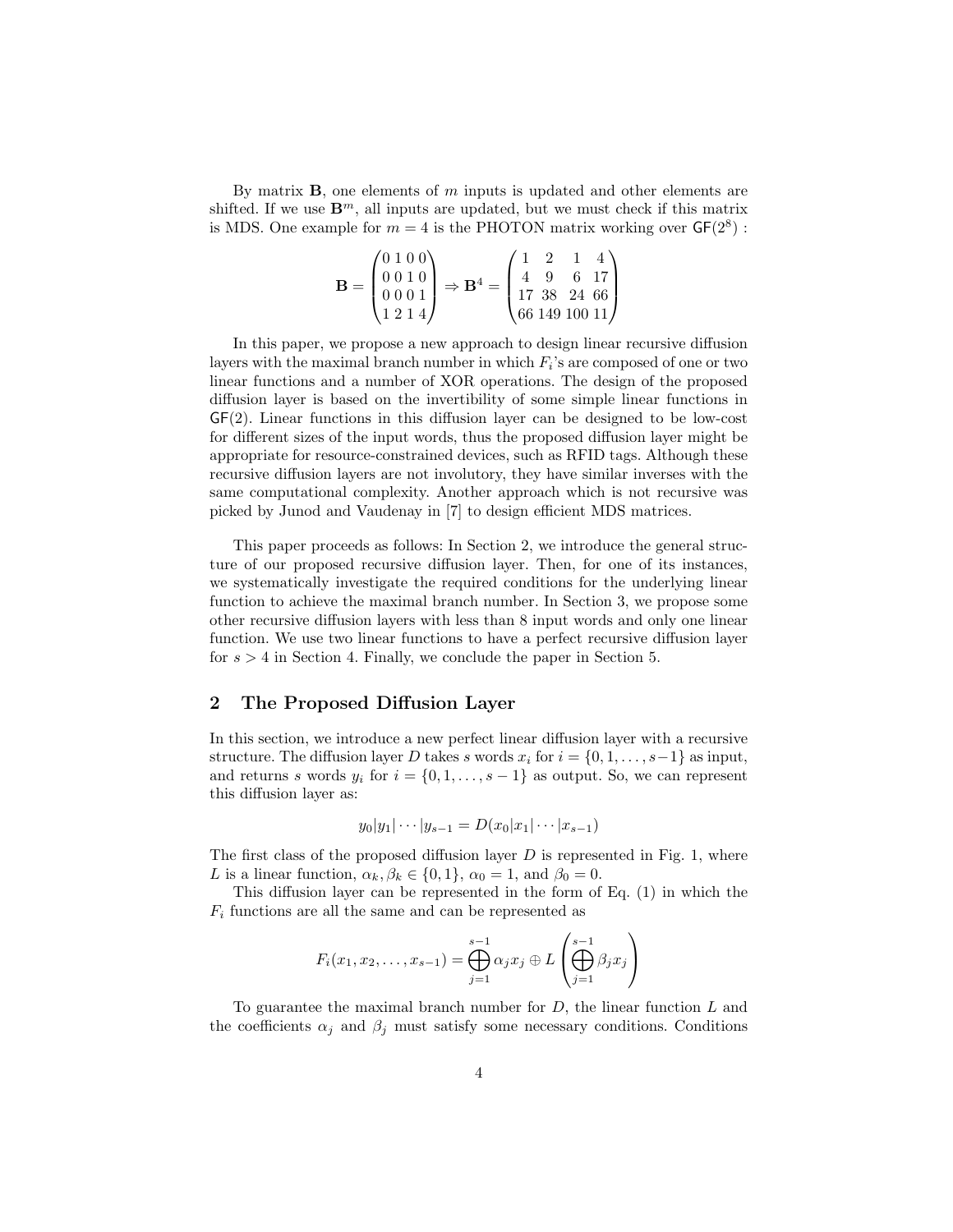By matrix  $\bf{B}$ , one elements of m inputs is updated and other elements are shifted. If we use  $\mathbf{B}^m$ , all inputs are updated, but we must check if this matrix is MDS. One example for  $m = 4$  is the PHOTON matrix working over  $GF(2^8)$ :

$$
\mathbf{B} = \begin{pmatrix} 0 & 1 & 0 & 0 \\ 0 & 0 & 1 & 0 \\ 0 & 0 & 0 & 1 \\ 1 & 2 & 1 & 4 \end{pmatrix} \Rightarrow \mathbf{B}^4 = \begin{pmatrix} 1 & 2 & 1 & 4 \\ 4 & 9 & 6 & 17 \\ 17 & 38 & 24 & 66 \\ 66 & 149 & 100 & 11 \end{pmatrix}
$$

In this paper, we propose a new approach to design linear recursive diffusion layers with the maximal branch number in which  $F_i$ 's are composed of one or two linear functions and a number of XOR operations. The design of the proposed diffusion layer is based on the invertibility of some simple linear functions in GF(2). Linear functions in this diffusion layer can be designed to be low-cost for different sizes of the input words, thus the proposed diffusion layer might be appropriate for resource-constrained devices, such as RFID tags. Although these recursive diffusion layers are not involutory, they have similar inverses with the same computational complexity. Another approach which is not recursive was picked by Junod and Vaudenay in [7] to design efficient MDS matrices.

This paper proceeds as follows: In Section 2, we introduce the general structure of our proposed recursive diffusion layer. Then, for one of its instances, we systematically investigate the required conditions for the underlying linear function to achieve the maximal branch number. In Section 3, we propose some other recursive diffusion layers with less than 8 input words and only one linear function. We use two linear functions to have a perfect recursive diffusion layer for  $s > 4$  in Section 4. Finally, we conclude the paper in Section 5.

# 2 The Proposed Diffusion Layer

In this section, we introduce a new perfect linear diffusion layer with a recursive structure. The diffusion layer D takes s words  $x_i$  for  $i = \{0, 1, \ldots, s-1\}$  as input, and returns s words  $y_i$  for  $i = \{0, 1, \ldots, s - 1\}$  as output. So, we can represent this diffusion layer as:

$$
y_0|y_1|\cdots|y_{s-1}=D(x_0|x_1|\cdots|x_{s-1})
$$

The first class of the proposed diffusion layer  $D$  is represented in Fig. 1, where L is a linear function,  $\alpha_k, \beta_k \in \{0, 1\}, \alpha_0 = 1$ , and  $\beta_0 = 0$ .

This diffusion layer can be represented in the form of Eq. (1) in which the  $F_i$  functions are all the same and can be represented as

$$
F_i(x_1, x_2, \dots, x_{s-1}) = \bigoplus_{j=1}^{s-1} \alpha_j x_j \oplus L\left(\bigoplus_{j=1}^{s-1} \beta_j x_j\right)
$$

To guarantee the maximal branch number for  $D$ , the linear function  $L$  and the coefficients  $\alpha_j$  and  $\beta_j$  must satisfy some necessary conditions. Conditions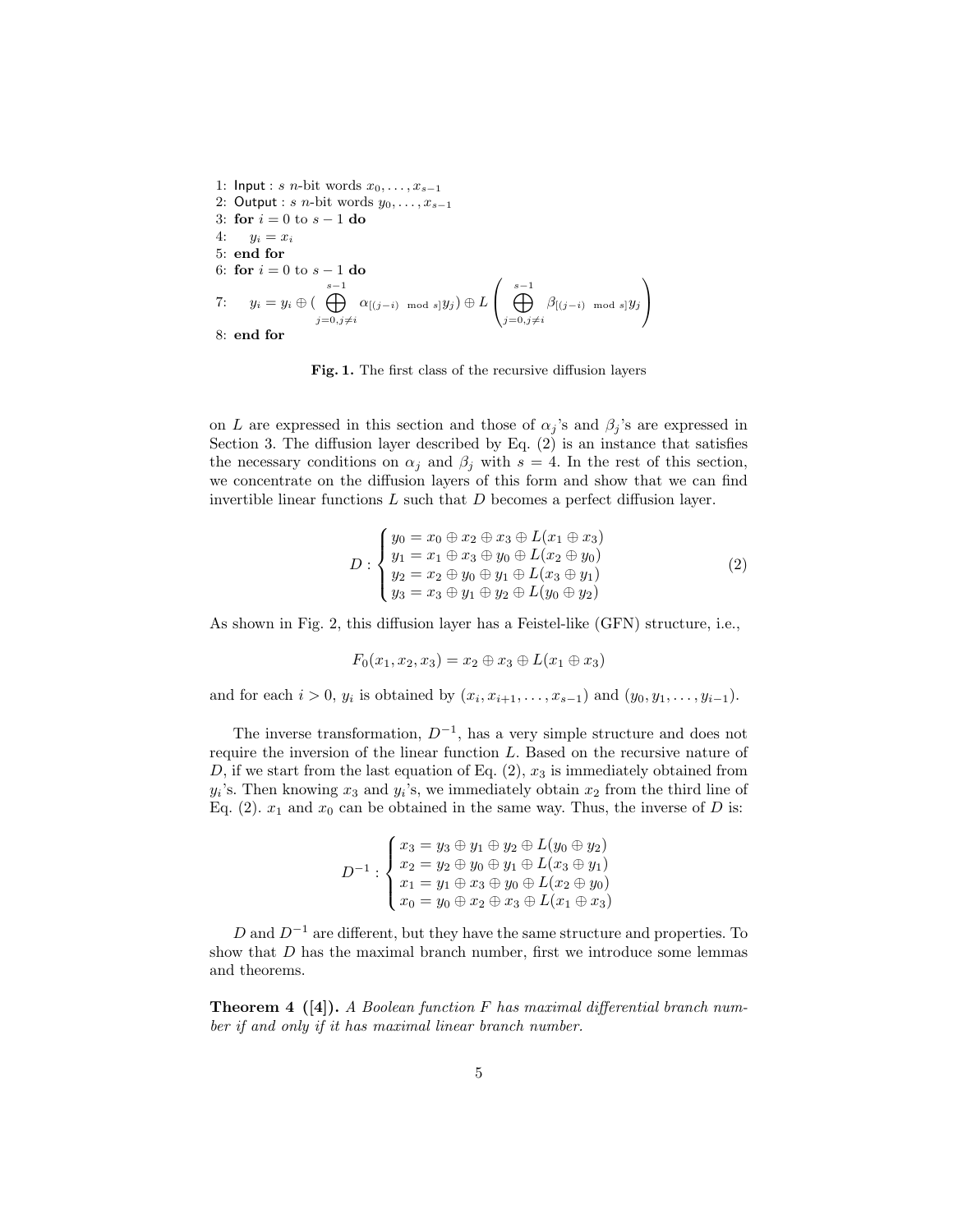1: Input : s n-bit words  $x_0, \ldots, x_{s-1}$ 2: Output : s n-bit words  $y_0, \ldots, x_{s-1}$ 3: for  $i = 0$  to  $s - 1$  do 4:  $y_i = x_i$ 5: end for 6: for  $i = 0$  to  $s - 1$  do 7:  $y_i = y_i \oplus (\bigoplus^{s-1}$  $j=0,j\neq i$  $\alpha_{[(j-i)\mod s]}y_j)\oplus L$  $\left( \bigoplus_{j=0,j\neq i}^{s-1} \right)$  $\beta_{[(j-i)\mod s]}y_j$  $\setminus$  $\overline{1}$ 8: end for

Fig. 1. The first class of the recursive diffusion layers

on L are expressed in this section and those of  $\alpha_j$ 's and  $\beta_j$ 's are expressed in Section 3. The diffusion layer described by Eq. (2) is an instance that satisfies the necessary conditions on  $\alpha_i$  and  $\beta_i$  with  $s = 4$ . In the rest of this section, we concentrate on the diffusion layers of this form and show that we can find invertible linear functions  $L$  such that  $D$  becomes a perfect diffusion layer.

$$
D: \begin{cases} y_0 = x_0 \oplus x_2 \oplus x_3 \oplus L(x_1 \oplus x_3) \\ y_1 = x_1 \oplus x_3 \oplus y_0 \oplus L(x_2 \oplus y_0) \\ y_2 = x_2 \oplus y_0 \oplus y_1 \oplus L(x_3 \oplus y_1) \\ y_3 = x_3 \oplus y_1 \oplus y_2 \oplus L(y_0 \oplus y_2) \end{cases} \tag{2}
$$

As shown in Fig. 2, this diffusion layer has a Feistel-like (GFN) structure, i.e.,

$$
F_0(x_1, x_2, x_3) = x_2 \oplus x_3 \oplus L(x_1 \oplus x_3)
$$

and for each  $i > 0$ ,  $y_i$  is obtained by  $(x_i, x_{i+1}, \ldots, x_{s-1})$  and  $(y_0, y_1, \ldots, y_{i-1})$ .

The inverse transformation,  $D^{-1}$ , has a very simple structure and does not require the inversion of the linear function L. Based on the recursive nature of D, if we start from the last equation of Eq.  $(2)$ ,  $x_3$  is immediately obtained from  $y_i$ 's. Then knowing  $x_3$  and  $y_i$ 's, we immediately obtain  $x_2$  from the third line of Eq. (2).  $x_1$  and  $x_0$  can be obtained in the same way. Thus, the inverse of D is:

$$
D^{-1} : \begin{cases} x_3 = y_3 \oplus y_1 \oplus y_2 \oplus L(y_0 \oplus y_2) \\ x_2 = y_2 \oplus y_0 \oplus y_1 \oplus L(x_3 \oplus y_1) \\ x_1 = y_1 \oplus x_3 \oplus y_0 \oplus L(x_2 \oplus y_0) \\ x_0 = y_0 \oplus x_2 \oplus x_3 \oplus L(x_1 \oplus x_3) \end{cases}
$$

D and  $D^{-1}$  are different, but they have the same structure and properties. To show that D has the maximal branch number, first we introduce some lemmas and theorems.

**Theorem 4** ([4]). A Boolean function F has maximal differential branch number if and only if it has maximal linear branch number.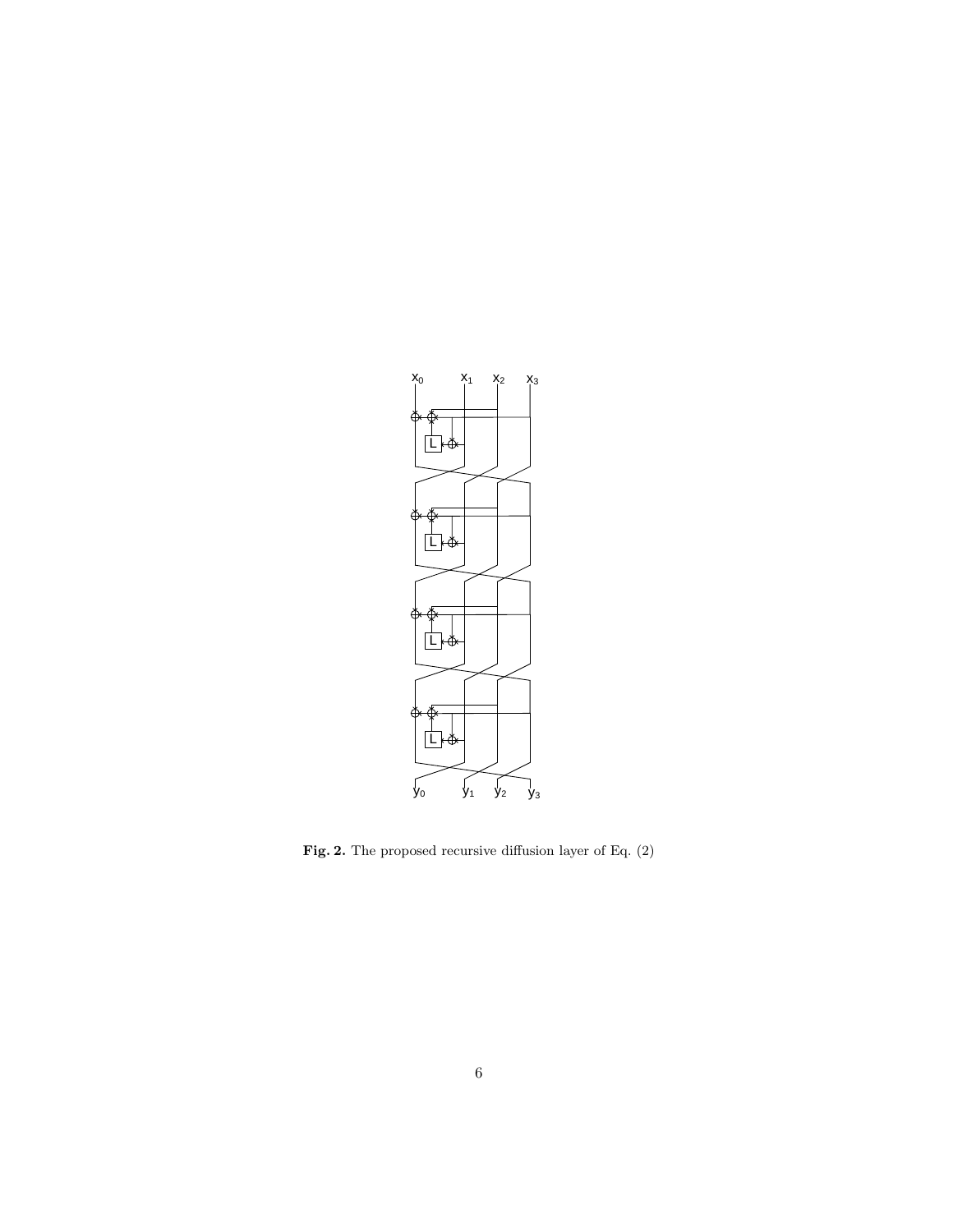

Fig. 2. The proposed recursive diffusion layer of Eq. (2)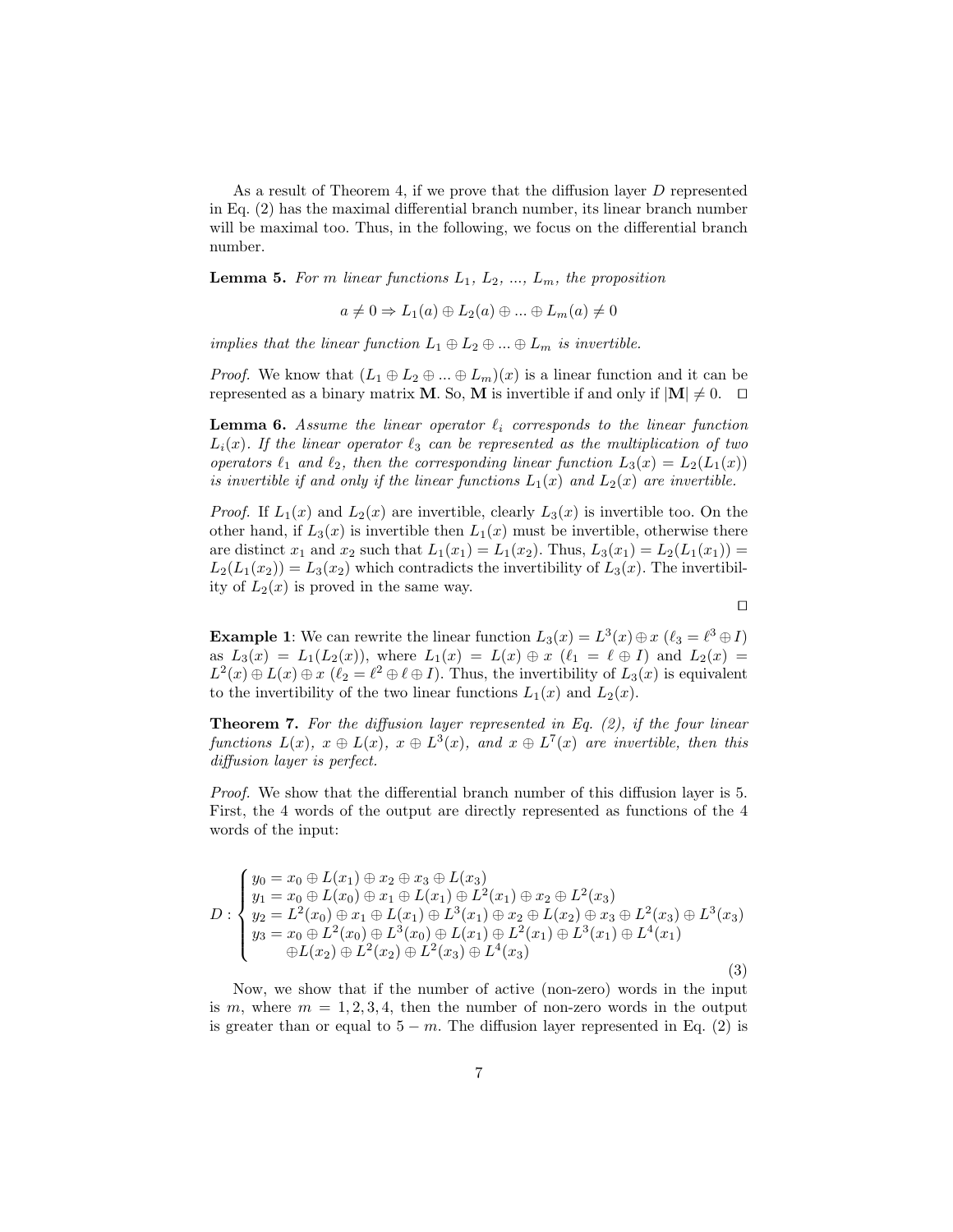As a result of Theorem 4, if we prove that the diffusion layer D represented in Eq. (2) has the maximal differential branch number, its linear branch number will be maximal too. Thus, in the following, we focus on the differential branch number.

**Lemma 5.** For m linear functions  $L_1$ ,  $L_2$ , ...,  $L_m$ , the proposition

$$
a \neq 0 \Rightarrow L_1(a) \oplus L_2(a) \oplus \dots \oplus L_m(a) \neq 0
$$

implies that the linear function  $L_1 \oplus L_2 \oplus ... \oplus L_m$  is invertible.

*Proof.* We know that  $(L_1 \oplus L_2 \oplus ... \oplus L_m)(x)$  is a linear function and it can be represented as a binary matrix **M**. So, **M** is invertible if and only if  $|\mathbf{M}| \neq 0$ .  $\Box$ 

**Lemma 6.** Assume the linear operator  $\ell_i$  corresponds to the linear function  $L_i(x)$ . If the linear operator  $\ell_3$  can be represented as the multiplication of two operators  $\ell_1$  and  $\ell_2$ , then the corresponding linear function  $L_3(x) = L_2(L_1(x))$ is invertible if and only if the linear functions  $L_1(x)$  and  $L_2(x)$  are invertible.

*Proof.* If  $L_1(x)$  and  $L_2(x)$  are invertible, clearly  $L_3(x)$  is invertible too. On the other hand, if  $L_3(x)$  is invertible then  $L_1(x)$  must be invertible, otherwise there are distinct  $x_1$  and  $x_2$  such that  $L_1(x_1) = L_1(x_2)$ . Thus,  $L_3(x_1) = L_2(L_1(x_1))$  $L_2(L_1(x_2)) = L_3(x_2)$  which contradicts the invertibility of  $L_3(x)$ . The invertibility of  $L_2(x)$  is proved in the same way.

 $\Box$ 

**Example 1**: We can rewrite the linear function  $L_3(x) = L^3(x) \oplus x$  ( $\ell_3 = \ell^3 \oplus I$ ) as  $L_3(x) = L_1(L_2(x))$ , where  $L_1(x) = L(x) \oplus x$   $(\ell_1 = \ell \oplus I)$  and  $L_2(x) =$  $L^2(x) \oplus L(x) \oplus x \; (\ell_2 = \ell^2 \oplus \ell \oplus I)$ . Thus, the invertibility of  $L_3(x)$  is equivalent to the invertibility of the two linear functions  $L_1(x)$  and  $L_2(x)$ .

**Theorem 7.** For the diffusion layer represented in Eq.  $(2)$ , if the four linear functions  $L(x)$ ,  $x \oplus L(x)$ ,  $x \oplus L^3(x)$ , and  $x \oplus L^7(x)$  are invertible, then this diffusion layer is perfect.

Proof. We show that the differential branch number of this diffusion layer is 5. First, the 4 words of the output are directly represented as functions of the 4 words of the input:

$$
D: \begin{cases} y_0 = x_0 \oplus L(x_1) \oplus x_2 \oplus x_3 \oplus L(x_3) \\ y_1 = x_0 \oplus L(x_0) \oplus x_1 \oplus L(x_1) \oplus L^2(x_1) \oplus x_2 \oplus L^2(x_3) \\ y_2 = L^2(x_0) \oplus x_1 \oplus L(x_1) \oplus L^3(x_1) \oplus x_2 \oplus L(x_2) \oplus x_3 \oplus L^2(x_3) \oplus L^3(x_3) \\ y_3 = x_0 \oplus L^2(x_0) \oplus L^3(x_0) \oplus L(x_1) \oplus L^2(x_1) \oplus L^3(x_1) \oplus L^4(x_1) \\ \oplus L(x_2) \oplus L^2(x_2) \oplus L^2(x_3) \oplus L^4(x_3) \end{cases} \tag{3}
$$

Now, we show that if the number of active (non-zero) words in the input is m, where  $m = 1, 2, 3, 4$ , then the number of non-zero words in the output is greater than or equal to  $5 - m$ . The diffusion layer represented in Eq. (2) is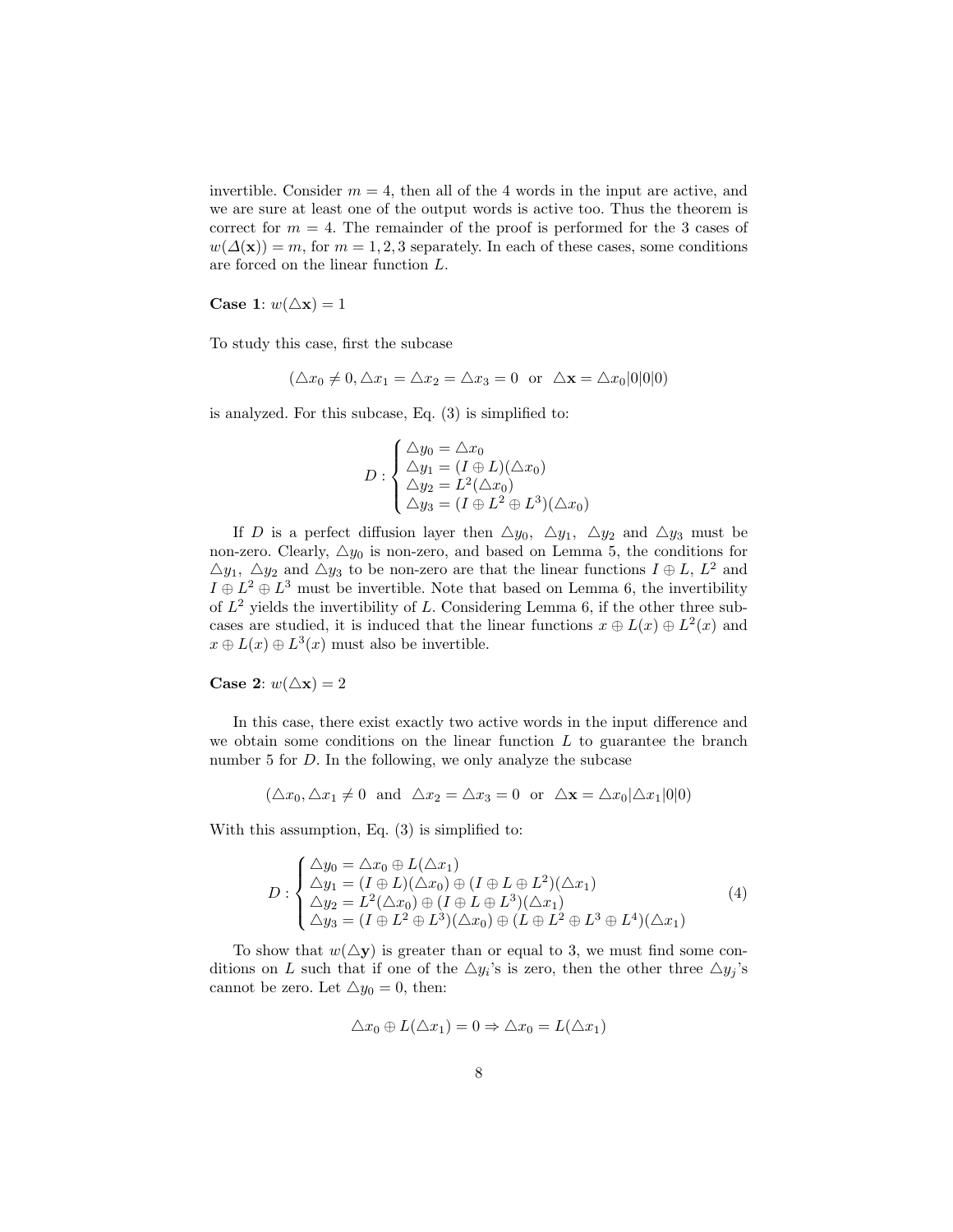invertible. Consider  $m = 4$ , then all of the 4 words in the input are active, and we are sure at least one of the output words is active too. Thus the theorem is correct for  $m = 4$ . The remainder of the proof is performed for the 3 cases of  $w(\Delta(\mathbf{x})) = m$ , for  $m = 1, 2, 3$  separately. In each of these cases, some conditions are forced on the linear function L.

Case 1:  $w(\triangle x) = 1$ 

To study this case, first the subcase

$$
(\triangle x_0 \neq 0, \triangle x_1 = \triangle x_2 = \triangle x_3 = 0 \text{ or } \triangle \mathbf{x} = \triangle x_0 |0|0|0)
$$

is analyzed. For this subcase, Eq. (3) is simplified to:

$$
D: \begin{cases} \Delta y_0 = \Delta x_0 \\ \Delta y_1 = (I \oplus L)(\Delta x_0) \\ \Delta y_2 = L^2(\Delta x_0) \\ \Delta y_3 = (I \oplus L^2 \oplus L^3)(\Delta x_0) \end{cases}
$$

If D is a perfect diffusion layer then  $\triangle y_0$ ,  $\triangle y_1$ ,  $\triangle y_2$  and  $\triangle y_3$  must be non-zero. Clearly,  $\triangle y_0$  is non-zero, and based on Lemma 5, the conditions for  $\Delta y_1$ ,  $\Delta y_2$  and  $\Delta y_3$  to be non-zero are that the linear functions  $I \oplus L$ ,  $L^2$  and  $I \oplus L^2 \oplus L^3$  must be invertible. Note that based on Lemma 6, the invertibility of  $L^2$  yields the invertibility of L. Considering Lemma 6, if the other three subcases are studied, it is induced that the linear functions  $x \oplus L(x) \oplus L^2(x)$  and  $x \oplus L(x) \oplus L^{3}(x)$  must also be invertible.

# Case 2:  $w(\triangle x) = 2$

In this case, there exist exactly two active words in the input difference and we obtain some conditions on the linear function  $L$  to guarantee the branch number 5 for D. In the following, we only analyze the subcase

$$
(\triangle x_0, \triangle x_1 \neq 0 \text{ and } \triangle x_2 = \triangle x_3 = 0 \text{ or } \triangle \mathbf{x} = \triangle x_0 | \triangle x_1 | 0 | 0)
$$

With this assumption, Eq. (3) is simplified to:

$$
D: \begin{cases} \Delta y_0 = \Delta x_0 \oplus L(\Delta x_1) \\ \Delta y_1 = (I \oplus L)(\Delta x_0) \oplus (I \oplus L \oplus L^2)(\Delta x_1) \\ \Delta y_2 = L^2(\Delta x_0) \oplus (I \oplus L \oplus L^3)(\Delta x_1) \\ \Delta y_3 = (I \oplus L^2 \oplus L^3)(\Delta x_0) \oplus (L \oplus L^2 \oplus L^3 \oplus L^4)(\Delta x_1) \end{cases} (4)
$$

To show that  $w(\Delta y)$  is greater than or equal to 3, we must find some conditions on L such that if one of the  $\triangle y_i$ 's is zero, then the other three  $\triangle y_j$ 's cannot be zero. Let  $\triangle y_0 = 0$ , then:

$$
\Delta x_0 \oplus L(\Delta x_1) = 0 \Rightarrow \Delta x_0 = L(\Delta x_1)
$$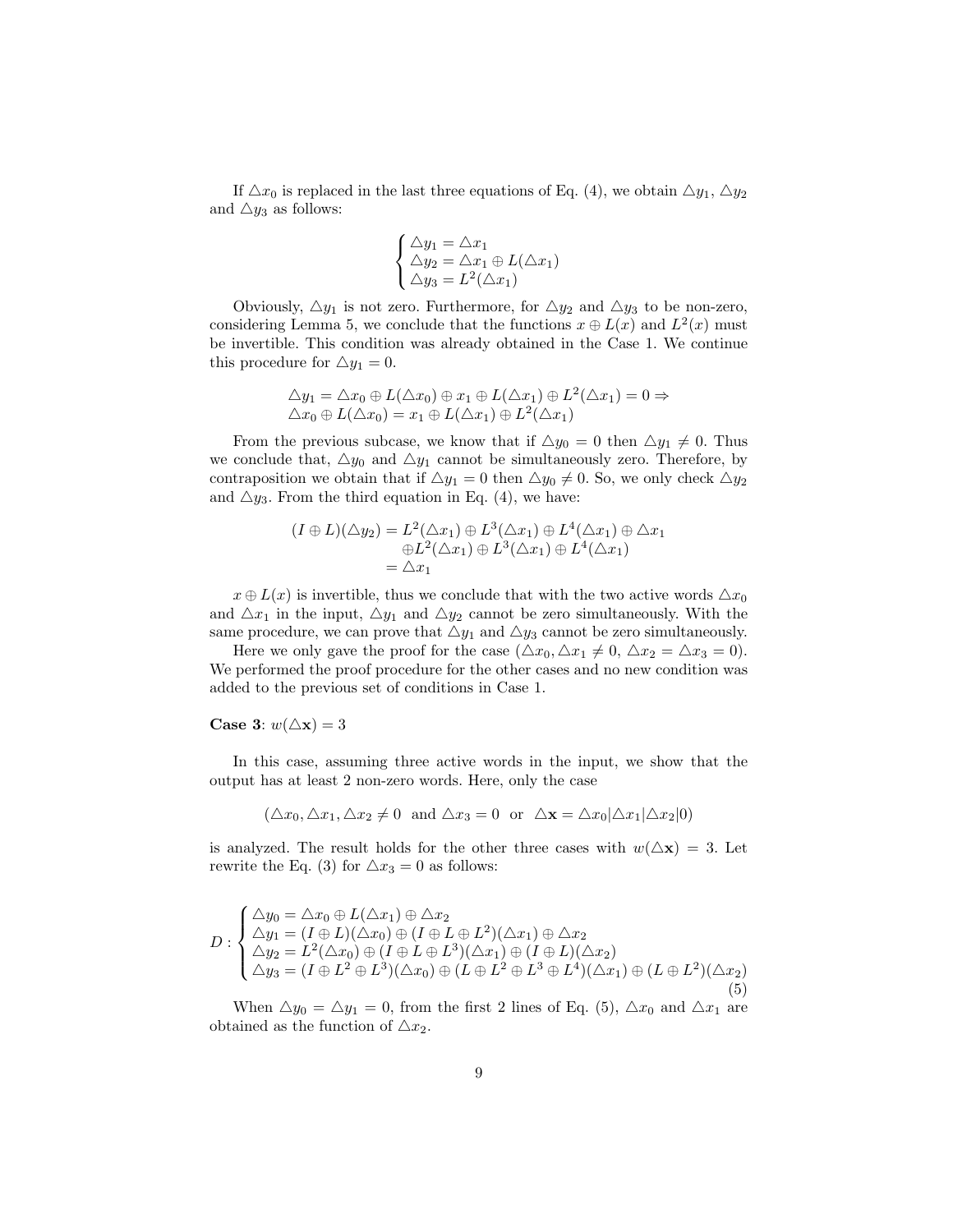If  $\triangle x_0$  is replaced in the last three equations of Eq. (4), we obtain  $\triangle y_1$ ,  $\triangle y_2$ and  $\triangle y_3$  as follows:

$$
\begin{cases}\n\Delta y_1 = \Delta x_1 \\
\Delta y_2 = \Delta x_1 \oplus L(\Delta x_1) \\
\Delta y_3 = L^2(\Delta x_1)\n\end{cases}
$$

Obviously,  $\Delta y_1$  is not zero. Furthermore, for  $\Delta y_2$  and  $\Delta y_3$  to be non-zero, considering Lemma 5, we conclude that the functions  $x \oplus L(x)$  and  $L^2(x)$  must be invertible. This condition was already obtained in the Case 1. We continue this procedure for  $\triangle y_1 = 0$ .

$$
\Delta y_1 = \Delta x_0 \oplus L(\Delta x_0) \oplus x_1 \oplus L(\Delta x_1) \oplus L^2(\Delta x_1) = 0 \Rightarrow
$$
  

$$
\Delta x_0 \oplus L(\Delta x_0) = x_1 \oplus L(\Delta x_1) \oplus L^2(\Delta x_1)
$$

From the previous subcase, we know that if  $\Delta y_0 = 0$  then  $\Delta y_1 \neq 0$ . Thus we conclude that,  $\Delta y_0$  and  $\Delta y_1$  cannot be simultaneously zero. Therefore, by contraposition we obtain that if  $\Delta y_1 = 0$  then  $\Delta y_0 \neq 0$ . So, we only check  $\Delta y_2$ and  $\triangle y_3$ . From the third equation in Eq. (4), we have:

$$
(I \oplus L)(\triangle y_2) = L^2(\triangle x_1) \oplus L^3(\triangle x_1) \oplus L^4(\triangle x_1) \oplus \triangle x_1
$$
  
\n
$$
\oplus L^2(\triangle x_1) \oplus L^3(\triangle x_1) \oplus L^4(\triangle x_1)
$$
  
\n
$$
= \triangle x_1
$$

 $x \oplus L(x)$  is invertible, thus we conclude that with the two active words  $\triangle x_0$ and  $\Delta x_1$  in the input,  $\Delta y_1$  and  $\Delta y_2$  cannot be zero simultaneously. With the same procedure, we can prove that  $\triangle y_1$  and  $\triangle y_3$  cannot be zero simultaneously.

Here we only gave the proof for the case  $(\triangle x_0, \triangle x_1 \neq 0, \triangle x_2 = \triangle x_3 = 0)$ . We performed the proof procedure for the other cases and no new condition was added to the previous set of conditions in Case 1.

#### Case 3:  $w(\triangle x) = 3$

In this case, assuming three active words in the input, we show that the output has at least 2 non-zero words. Here, only the case

$$
(\triangle x_0, \triangle x_1, \triangle x_2 \neq 0 \text{ and } \triangle x_3 = 0 \text{ or } \triangle \mathbf{x} = \triangle x_0 | \triangle x_1 | \triangle x_2 | 0)
$$

is analyzed. The result holds for the other three cases with  $w(\Delta x) = 3$ . Let rewrite the Eq. (3) for  $\triangle x_3 = 0$  as follows:

$$
D: \begin{cases} \Delta y_0 = \Delta x_0 \oplus L(\Delta x_1) \oplus \Delta x_2 \\ \Delta y_1 = (I \oplus L)(\Delta x_0) \oplus (I \oplus L \oplus L^2)(\Delta x_1) \oplus \Delta x_2 \\ \Delta y_2 = L^2(\Delta x_0) \oplus (I \oplus L \oplus L^3)(\Delta x_1) \oplus (I \oplus L)(\Delta x_2) \\ \Delta y_3 = (I \oplus L^2 \oplus L^3)(\Delta x_0) \oplus (L \oplus L^2 \oplus L^3 \oplus L^4)(\Delta x_1) \oplus (L \oplus L^2)(\Delta x_2) \end{cases}
$$
(5)

When  $\Delta y_0 = \Delta y_1 = 0$ , from the first 2 lines of Eq. (5),  $\Delta x_0$  and  $\Delta x_1$  are obtained as the function of  $\triangle x_2$ .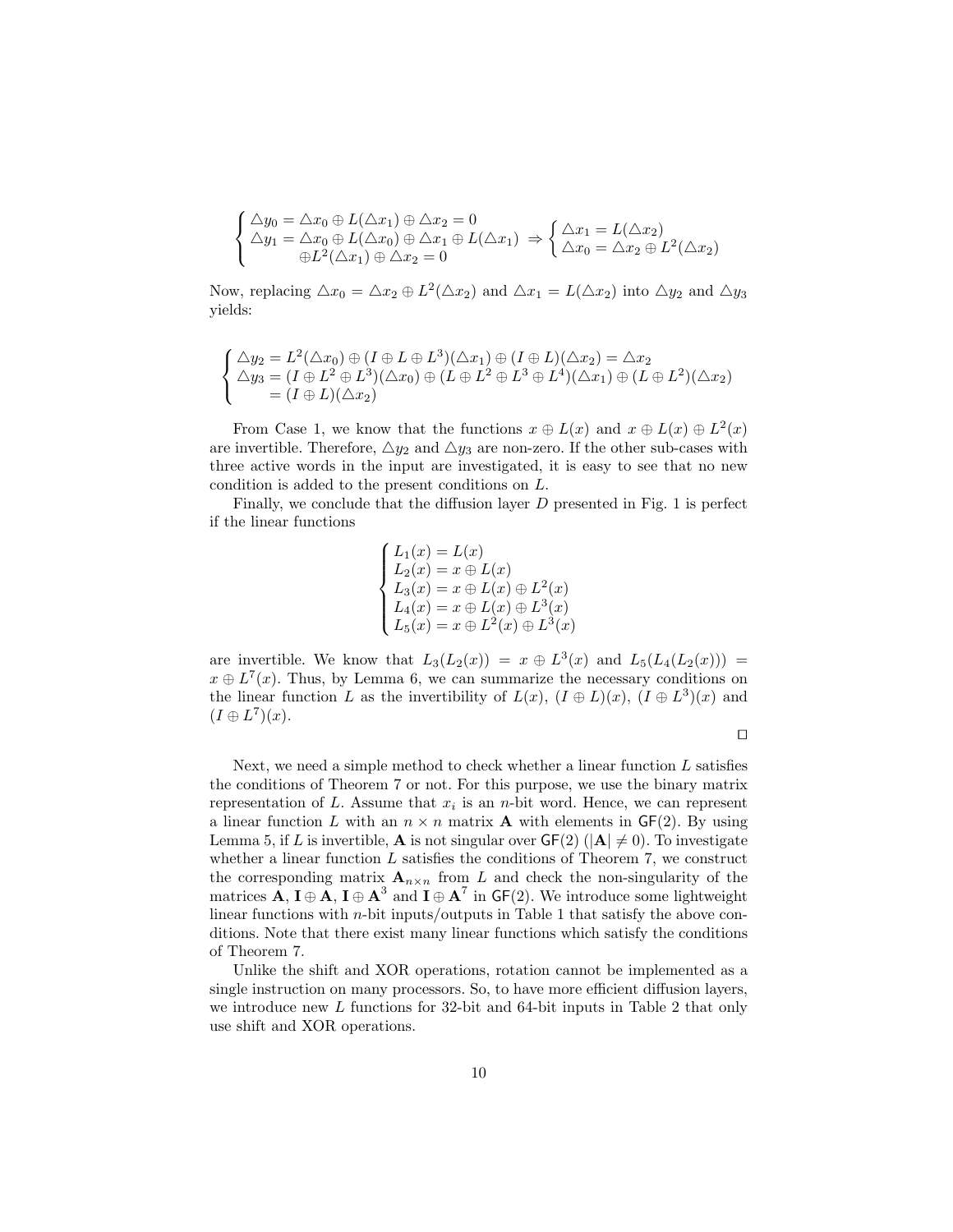$$
\begin{cases}\n\Delta y_0 = \Delta x_0 \oplus L(\Delta x_1) \oplus \Delta x_2 = 0 \\
\Delta y_1 = \Delta x_0 \oplus L(\Delta x_0) \oplus \Delta x_1 \oplus L(\Delta x_1) \Rightarrow \begin{cases}\n\Delta x_1 = L(\Delta x_2) \\
\Delta x_0 = \Delta x_2 \oplus L^2(\Delta x_2)\n\end{cases} \\
\oplus L^2(\Delta x_1) \oplus \Delta x_2 = 0\n\end{cases}
$$

Now, replacing  $\triangle x_0 = \triangle x_2 \oplus L^2(\triangle x_2)$  and  $\triangle x_1 = L(\triangle x_2)$  into  $\triangle y_2$  and  $\triangle y_3$ yields:

$$
\begin{cases}\n\Delta y_2 = L^2(\Delta x_0) \oplus (I \oplus L \oplus L^3)(\Delta x_1) \oplus (I \oplus L)(\Delta x_2) = \Delta x_2 \\
\Delta y_3 = (I \oplus L^2 \oplus L^3)(\Delta x_0) \oplus (L \oplus L^2 \oplus L^3 \oplus L^4)(\Delta x_1) \oplus (L \oplus L^2)(\Delta x_2) \\
= (I \oplus L)(\Delta x_2)\n\end{cases}
$$

From Case 1, we know that the functions  $x \oplus L(x)$  and  $x \oplus L(x) \oplus L^2(x)$ are invertible. Therefore,  $\triangle y_2$  and  $\triangle y_3$  are non-zero. If the other sub-cases with three active words in the input are investigated, it is easy to see that no new condition is added to the present conditions on L.

Finally, we conclude that the diffusion layer  $D$  presented in Fig. 1 is perfect if the linear functions

$$
\begin{cases}\nL_1(x) = L(x) \\
L_2(x) = x \oplus L(x) \\
L_3(x) = x \oplus L(x) \oplus L^2(x) \\
L_4(x) = x \oplus L(x) \oplus L^3(x) \\
L_5(x) = x \oplus L^2(x) \oplus L^3(x)\n\end{cases}
$$

are invertible. We know that  $L_3(L_2(x)) = x \oplus L^3(x)$  and  $L_5(L_4(L_2(x))) =$  $x \oplus L^{7}(x)$ . Thus, by Lemma 6, we can summarize the necessary conditions on the linear function L as the invertibility of  $L(x)$ ,  $(I \oplus L)(x)$ ,  $(I \oplus L^3)(x)$  and  $(I \oplus L^7)(x)$ .

 $\Box$ 

Next, we need a simple method to check whether a linear function  $L$  satisfies the conditions of Theorem 7 or not. For this purpose, we use the binary matrix representation of L. Assume that  $x_i$  is an n-bit word. Hence, we can represent a linear function L with an  $n \times n$  matrix **A** with elements in GF(2). By using Lemma 5, if L is invertible, **A** is not singular over  $GF(2)$  ( $|A| \neq 0$ ). To investigate whether a linear function  $L$  satisfies the conditions of Theorem 7, we construct the corresponding matrix  $\mathbf{A}_{n\times n}$  from L and check the non-singularity of the matrices **A**,  $I \oplus A$ ,  $I \oplus A^3$  and  $I \oplus A^7$  in GF(2). We introduce some lightweight linear functions with  $n$ -bit inputs/outputs in Table 1 that satisfy the above conditions. Note that there exist many linear functions which satisfy the conditions of Theorem 7.

Unlike the shift and XOR operations, rotation cannot be implemented as a single instruction on many processors. So, to have more efficient diffusion layers, we introduce new L functions for 32-bit and 64-bit inputs in Table 2 that only use shift and XOR operations.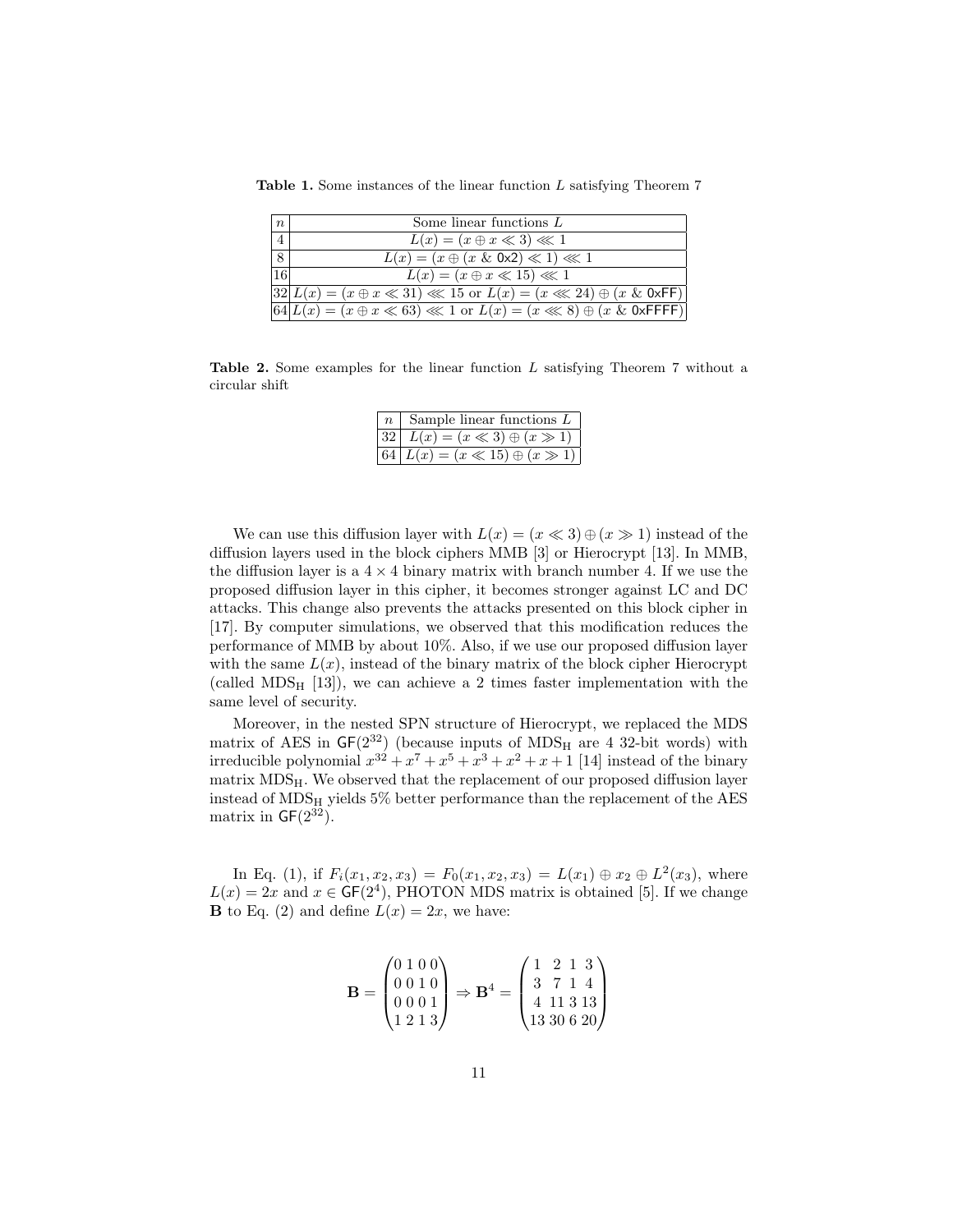| $\boldsymbol{n}$ | Some linear functions $L$                                                                      |
|------------------|------------------------------------------------------------------------------------------------|
| $\overline{4}$   | $L(x) = (x \oplus x \ll 3) \ll 1$                                                              |
| 8                | $L(x) = (x \oplus (x \& 0x2) \ll 1) \ll 1$                                                     |
| $\overline{16}$  | $L(x) = (x \oplus x \ll 15) \ll 1$                                                             |
|                  | $32 L(x) = (x \oplus x \ll 31) \ll 15$ or $L(x) = (x \ll 24) \oplus (x \& 0 \times F)$         |
|                  | $\boxed{64}L(x) = (x \oplus x \ll 63) \ll 1$ or $L(x) = (x \ll 8) \oplus (x \& 0 \times$ FFFF) |

Table 1. Some instances of the linear function L satisfying Theorem 7

Table 2. Some examples for the linear function L satisfying Theorem 7 without a circular shift

| $n \mid$ Sample linear functions L        |  |
|-------------------------------------------|--|
| $ 32  L(x) = (x \ll 3) \oplus (x \gg 1)$  |  |
| $ 64  L(x) = (x \ll 15) \oplus (x \gg 1)$ |  |

We can use this diffusion layer with  $L(x) = (x \ll 3) \oplus (x \gg 1)$  instead of the diffusion layers used in the block ciphers MMB [3] or Hierocrypt [13]. In MMB, the diffusion layer is a  $4 \times 4$  binary matrix with branch number 4. If we use the proposed diffusion layer in this cipher, it becomes stronger against LC and DC attacks. This change also prevents the attacks presented on this block cipher in [17]. By computer simulations, we observed that this modification reduces the performance of MMB by about 10%. Also, if we use our proposed diffusion layer with the same  $L(x)$ , instead of the binary matrix of the block cipher Hierocrypt (called  $MDS_H$  [13]), we can achieve a 2 times faster implementation with the same level of security.

Moreover, in the nested SPN structure of Hierocrypt, we replaced the MDS matrix of AES in  $GF(2^{32})$  (because inputs of MDS<sub>H</sub> are 4 32-bit words) with irreducible polynomial  $x^{32} + x^7 + x^5 + x^3 + x^2 + x + 1$  [14] instead of the binary  $matrix MDS<sub>H</sub>$ . We observed that the replacement of our proposed diffusion layer instead of  $MDS_H$  yields 5% better performance than the replacement of the AES matrix in  $GF(2^{32})$ .

In Eq. (1), if  $F_i(x_1, x_2, x_3) = F_0(x_1, x_2, x_3) = L(x_1) \oplus x_2 \oplus L^2(x_3)$ , where  $L(x) = 2x$  and  $x \in GF(2^4)$ , PHOTON MDS matrix is obtained [5]. If we change **B** to Eq. (2) and define  $L(x) = 2x$ , we have:

$$
\mathbf{B} = \begin{pmatrix} 0 & 1 & 0 & 0 \\ 0 & 0 & 1 & 0 \\ 0 & 0 & 0 & 1 \\ 1 & 2 & 1 & 3 \end{pmatrix} \Rightarrow \mathbf{B}^4 = \begin{pmatrix} 1 & 2 & 1 & 3 \\ 3 & 7 & 1 & 4 \\ 4 & 11 & 3 & 13 \\ 13 & 30 & 6 & 20 \end{pmatrix}
$$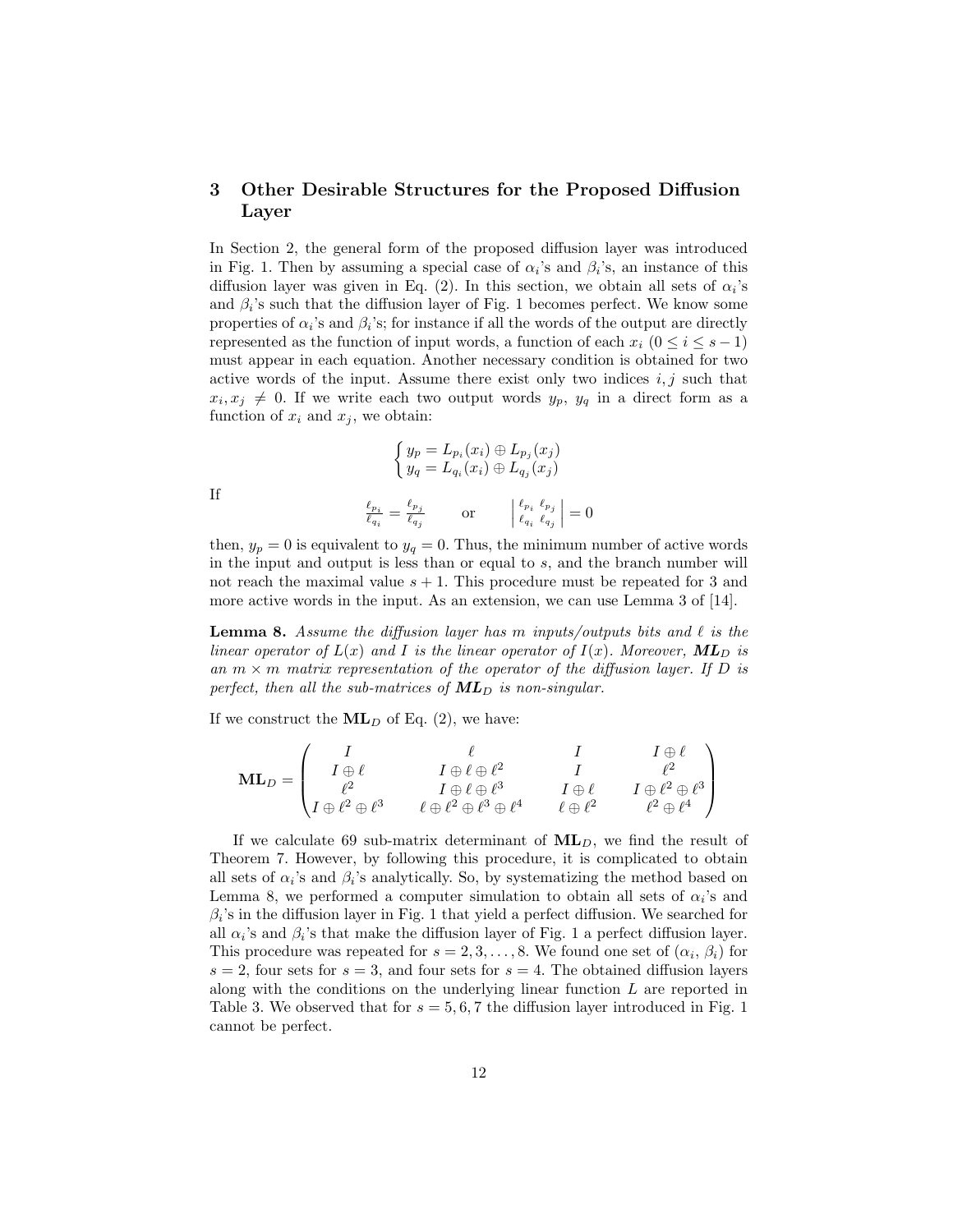# 3 Other Desirable Structures for the Proposed Diffusion Layer

In Section 2, the general form of the proposed diffusion layer was introduced in Fig. 1. Then by assuming a special case of  $\alpha_i$ 's and  $\beta_i$ 's, an instance of this diffusion layer was given in Eq. (2). In this section, we obtain all sets of  $\alpha_i$ 's and  $\beta_i$ 's such that the diffusion layer of Fig. 1 becomes perfect. We know some properties of  $\alpha_i$ 's and  $\beta_i$ 's; for instance if all the words of the output are directly represented as the function of input words, a function of each  $x_i$  ( $0 \le i \le s - 1$ ) must appear in each equation. Another necessary condition is obtained for two active words of the input. Assume there exist only two indices  $i, j$  such that  $x_i, x_j \neq 0$ . If we write each two output words  $y_p, y_q$  in a direct form as a function of  $x_i$  and  $x_j$ , we obtain:

$$
\begin{cases}\ny_p = L_{p_i}(x_i) \oplus L_{p_j}(x_j) \\
y_q = L_{q_i}(x_i) \oplus L_{q_j}(x_j)\n\end{cases}
$$

If

$$
\frac{\ell_{p_i}}{\ell_{q_i}} = \frac{\ell_{p_j}}{\ell_{q_j}} \qquad \text{or} \qquad \begin{vmatrix} \ell_{p_i} & \ell_{p_j} \\ \ell_{q_i} & \ell_{q_j} \end{vmatrix} = 0
$$

then,  $y_p = 0$  is equivalent to  $y_q = 0$ . Thus, the minimum number of active words in the input and output is less than or equal to s, and the branch number will not reach the maximal value  $s + 1$ . This procedure must be repeated for 3 and more active words in the input. As an extension, we can use Lemma 3 of [14].

**Lemma 8.** Assume the diffusion layer has m inputs/outputs bits and  $\ell$  is the linear operator of  $L(x)$  and I is the linear operator of  $I(x)$ . Moreover,  $ML_D$  is an  $m \times m$  matrix representation of the operator of the diffusion layer. If D is perfect, then all the sub-matrices of  $ML_D$  is non-singular.

If we construct the  $ML<sub>D</sub>$  of Eq. (2), we have:

$$
\mathbf{ML}_D = \begin{pmatrix} I & \ell & I & I \oplus \ell \\ I \oplus \ell & I \oplus \ell \oplus \ell^2 & I & \ell^2 \\ \ell^2 & I \oplus \ell \oplus \ell^3 & I \oplus \ell & I \oplus \ell^2 \oplus \ell^3 \\ I \oplus \ell^2 \oplus \ell^3 & \ell \oplus \ell^2 \oplus \ell^3 \oplus \ell^4 & \ell \oplus \ell^2 & \ell^2 \oplus \ell^4 \end{pmatrix}
$$

If we calculate 69 sub-matrix determinant of  $ML<sub>D</sub>$ , we find the result of Theorem 7. However, by following this procedure, it is complicated to obtain all sets of  $\alpha_i$ 's and  $\beta_i$ 's analytically. So, by systematizing the method based on Lemma 8, we performed a computer simulation to obtain all sets of  $\alpha_i$ 's and  $\beta_i$ 's in the diffusion layer in Fig. 1 that yield a perfect diffusion. We searched for all  $\alpha_i$ 's and  $\beta_i$ 's that make the diffusion layer of Fig. 1 a perfect diffusion layer. This procedure was repeated for  $s = 2, 3, ..., 8$ . We found one set of  $(\alpha_i, \beta_i)$  for  $s = 2$ , four sets for  $s = 3$ , and four sets for  $s = 4$ . The obtained diffusion layers along with the conditions on the underlying linear function L are reported in Table 3. We observed that for  $s = 5, 6, 7$  the diffusion layer introduced in Fig. 1 cannot be perfect.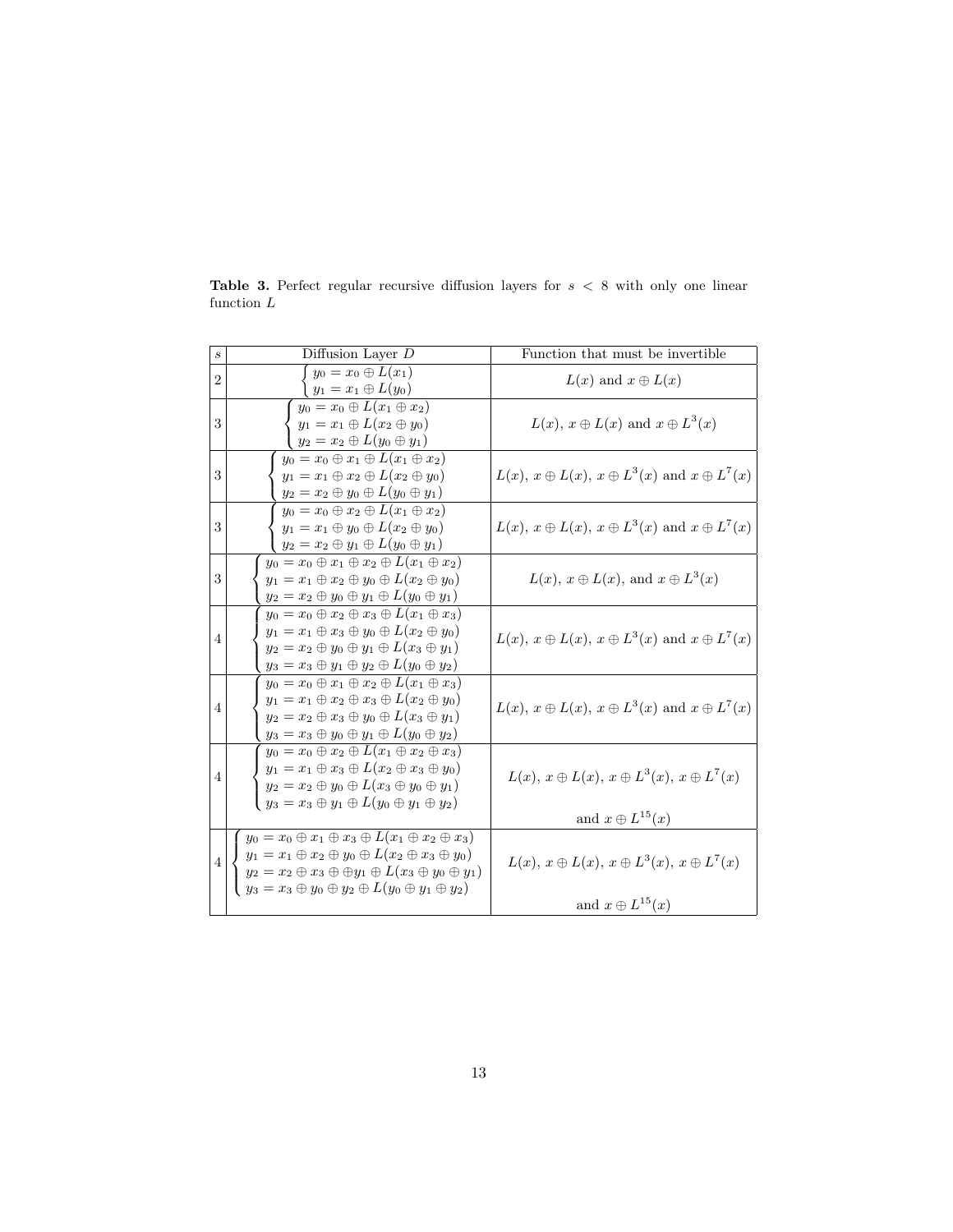| $\boldsymbol{s}$ | Diffusion Layer $D$                                                                                                                                                                                                                                                                                     | Function that must be invertible                                                             |  |
|------------------|---------------------------------------------------------------------------------------------------------------------------------------------------------------------------------------------------------------------------------------------------------------------------------------------------------|----------------------------------------------------------------------------------------------|--|
| $\overline{2}$   | $y_0=x_0\oplus L(x_1)$<br>$y_1 = x_1 \oplus L(y_0)$                                                                                                                                                                                                                                                     | $L(x)$ and $x \oplus L(x)$                                                                   |  |
| 3                | $y_0 = x_0 \oplus L(x_1 \oplus x_2)$<br>$y_1 = x_1 \oplus L(x_2 \oplus y_0)$<br>$y_2=x_2\oplus L(y_0\oplus y_1)$                                                                                                                                                                                        | $L(x)$ , $x \oplus L(x)$ and $x \oplus L^{3}(x)$                                             |  |
| 3                | $y_0 = x_0 \oplus x_1 \oplus L(x_1 \oplus x_2)$<br>$y_1 = x_1 \oplus x_2 \oplus L(x_2 \oplus y_0)$<br>$y_2 = x_2 \oplus y_0 \oplus L(y_0 \oplus y_1)$                                                                                                                                                   | $L(x)$ , $x \oplus L(x)$ , $x \oplus L^{3}(x)$ and $x \oplus L^{7}(x)$                       |  |
| 3                | $y_0 = x_0 \oplus x_2 \oplus L(x_1 \oplus x_2)$<br>$y_1 = x_1 \oplus y_0 \oplus L(x_2 \oplus y_0)$<br>$y_2 = x_2 \oplus y_1 \oplus L(y_0 \oplus y_1)$                                                                                                                                                   | $L(x)$ , $x \oplus L(x)$ , $x \oplus L^{3}(x)$ and $x \oplus L^{7}(x)$                       |  |
| 3                | $y_0 = x_0 \oplus x_1 \oplus x_2 \oplus L(x_1 \oplus x_2)$<br>$y_1 = x_1 \oplus x_2 \oplus y_0 \oplus L(x_2 \oplus y_0)$<br>$y_2 = x_2 \oplus y_0 \oplus y_1 \oplus L(y_0 \oplus y_1)$                                                                                                                  | $L(x)$ , $x \oplus L(x)$ , and $x \oplus L^{3}(x)$                                           |  |
| $\overline{4}$   | $y_0 = x_0 \oplus x_2 \oplus x_3 \oplus L(x_1 \oplus x_3)$<br>$y_1 = x_1 \oplus x_3 \oplus y_0 \oplus L(x_2 \oplus y_0)$<br>$y_2 = x_2 \oplus y_0 \oplus y_1 \oplus L(x_3 \oplus y_1)$<br>$y_3 = x_3 \oplus y_1 \oplus y_2 \oplus L(y_0 \oplus y_2)$                                                    | $L(x)$ , $x \oplus L(x)$ , $x \oplus L^{3}(x)$ and $x \oplus L^{7}(x)$                       |  |
| $\overline{4}$   | $y_0 = x_0 \oplus x_1 \oplus x_2 \oplus L(x_1 \oplus x_3)$<br>$y_1 = x_1 \oplus x_2 \oplus x_3 \oplus L(x_2 \oplus y_0)$<br>$y_2 = x_2 \oplus x_3 \oplus y_0 \oplus L(x_3 \oplus y_1)$<br>$y_3 = x_3 \oplus y_0 \oplus y_1 \oplus L(y_0 \oplus y_2)$                                                    | $L(x)$ , $x \oplus L(x)$ , $x \oplus L^{3}(x)$ and $x \oplus L^{7}(x)$                       |  |
| $\overline{4}$   | $y_0 = x_0 \oplus x_2 \oplus L(x_1 \oplus x_2 \oplus x_3)$<br>$y_1 = x_1 \oplus x_3 \oplus L(x_2 \oplus x_3 \oplus y_0)$<br>$y_2 = x_2 \oplus y_0 \oplus L(x_3 \oplus y_0 \oplus y_1)$<br>$y_3 = x_3 \oplus y_1 \oplus L(y_0 \oplus y_1 \oplus y_2)$                                                    | $L(x)$ , $x \oplus L(x)$ , $x \oplus L^3(x)$ , $x \oplus L^7(x)$<br>and $x \oplus L^{15}(x)$ |  |
| $\overline{4}$   | $y_0 = x_0 \oplus x_1 \oplus x_3 \oplus L(x_1 \oplus x_2 \oplus x_3)$<br>$y_1 = x_1 \oplus x_2 \oplus y_0 \oplus L(x_2 \oplus x_3 \oplus y_0)$<br>$y_2 = x_2 \oplus x_3 \oplus \oplus y_1 \oplus L(x_3 \oplus y_0 \oplus y_1)$<br>$y_3 = x_3 \oplus y_0 \oplus y_2 \oplus L(y_0 \oplus y_1 \oplus y_2)$ | $L(x)$ , $x \oplus L(x)$ , $x \oplus L^3(x)$ , $x \oplus L^7(x)$<br>and $x \oplus L^{15}(x)$ |  |

**Table 3.** Perfect regular recursive diffusion layers for  $s < 8$  with only one linear function L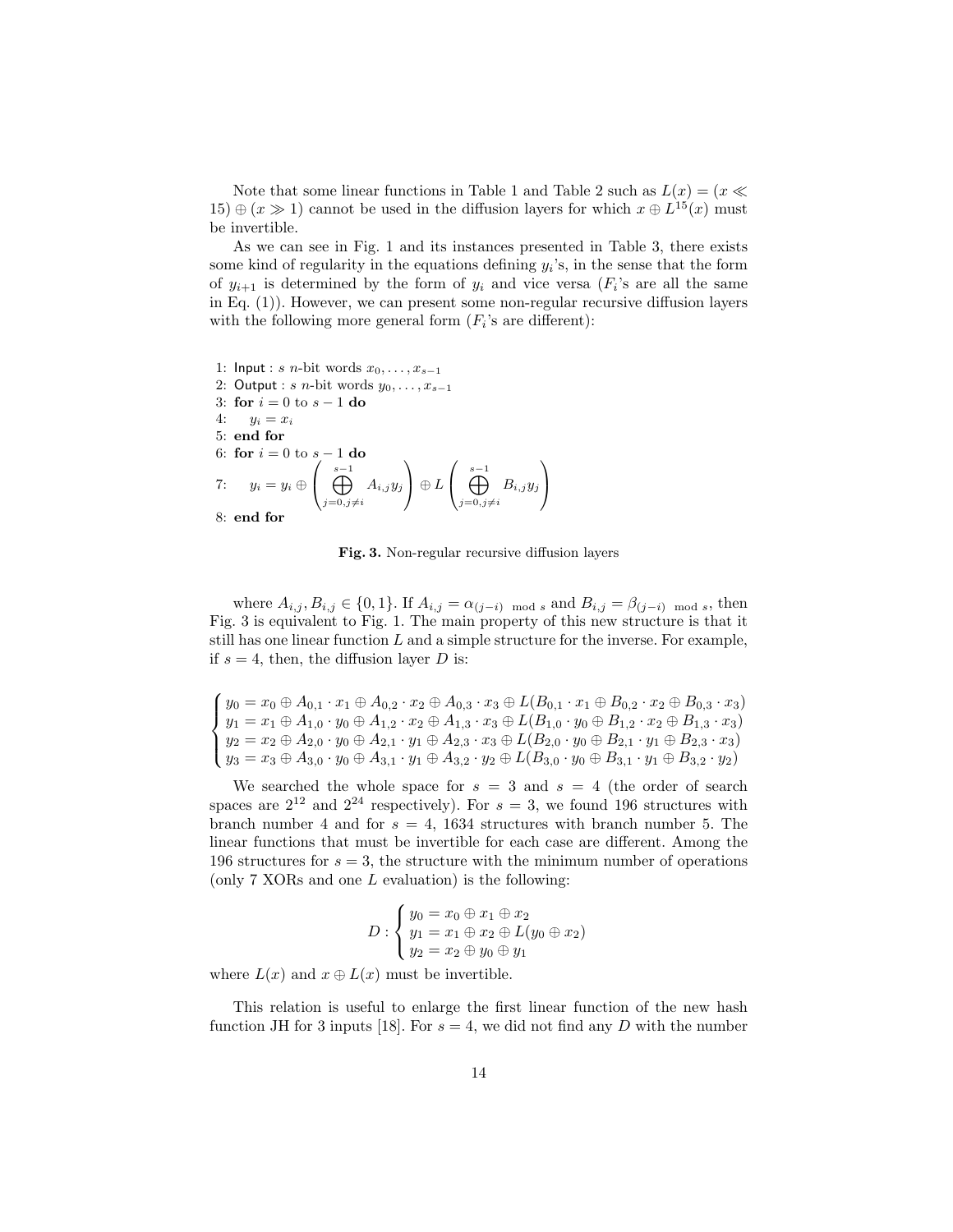Note that some linear functions in Table 1 and Table 2 such as  $L(x) = (x \ll x)$  $(15) \oplus (x \gg 1)$  cannot be used in the diffusion layers for which  $x \oplus L^{15}(x)$  must be invertible.

As we can see in Fig. 1 and its instances presented in Table 3, there exists some kind of regularity in the equations defining  $y_i$ 's, in the sense that the form of  $y_{i+1}$  is determined by the form of  $y_i$  and vice versa  $(F_i)$ 's are all the same in Eq. (1)). However, we can present some non-regular recursive diffusion layers with the following more general form  $(F_i)$ 's are different):

1: Input : s n-bit words  $x_0, \ldots, x_{s-1}$ 2: Output : s n-bit words  $y_0, \ldots, x_{s-1}$ 3: for  $i = 0$  to  $s - 1$  do 4:  $y_i = x_i$ 5: end for 6: for  $i = 0$  to  $s - 1$  do 7:  $y_i = y_i \oplus$  $\left( \bigoplus_{j=0,j\neq i}^{s-1} \right)$  $A_{i,j} y_j$  $\setminus$  $\Big\} \oplus L$  $\left( \bigoplus_{j=0,j\neq i}^{s-1} \right)$  $B_{i,j} y_j$  $\setminus$  $\overline{1}$ 8: end for

Fig. 3. Non-regular recursive diffusion layers

where  $A_{i,j}, B_{i,j} \in \{0, 1\}$ . If  $A_{i,j} = \alpha_{(j-i) \mod s}$  and  $B_{i,j} = \beta_{(j-i) \mod s}$ , then Fig. 3 is equivalent to Fig. 1. The main property of this new structure is that it still has one linear function  $L$  and a simple structure for the inverse. For example, if  $s = 4$ , then, the diffusion layer D is:

 $\sqrt{ }$  $\int$  $\overline{\mathcal{L}}$  $y_0 = x_0 \oplus A_{0,1} \cdot x_1 \oplus A_{0,2} \cdot x_2 \oplus A_{0,3} \cdot x_3 \oplus L(B_{0,1} \cdot x_1 \oplus B_{0,2} \cdot x_2 \oplus B_{0,3} \cdot x_3)$  $y_1 = x_1 \oplus A_{1,0} \cdot y_0 \oplus A_{1,2} \cdot x_2 \oplus A_{1,3} \cdot x_3 \oplus L(B_{1,0} \cdot y_0 \oplus B_{1,2} \cdot x_2 \oplus B_{1,3} \cdot x_3)$  $y_2 = x_2 \oplus A_{2,0} \cdot y_0 \oplus A_{2,1} \cdot y_1 \oplus A_{2,3} \cdot x_3 \oplus L(B_{2,0} \cdot y_0 \oplus B_{2,1} \cdot y_1 \oplus B_{2,3} \cdot x_3)$  $y_3 = x_3 \oplus A_{3,0} \cdot y_0 \oplus A_{3,1} \cdot y_1 \oplus A_{3,2} \cdot y_2 \oplus L(B_{3,0} \cdot y_0 \oplus B_{3,1} \cdot y_1 \oplus B_{3,2} \cdot y_2)$ 

We searched the whole space for  $s = 3$  and  $s = 4$  (the order of search spaces are  $2^{12}$  and  $2^{24}$  respectively). For  $s=3$ , we found 196 structures with branch number 4 and for  $s = 4$ , 1634 structures with branch number 5. The linear functions that must be invertible for each case are different. Among the 196 structures for  $s = 3$ , the structure with the minimum number of operations (only  $7 \text{ XORs}$  and one  $L$  evaluation) is the following:

$$
D: \begin{cases} y_0 = x_0 \oplus x_1 \oplus x_2 \\ y_1 = x_1 \oplus x_2 \oplus L(y_0 \oplus x_2) \\ y_2 = x_2 \oplus y_0 \oplus y_1 \end{cases}
$$

where  $L(x)$  and  $x \oplus L(x)$  must be invertible.

This relation is useful to enlarge the first linear function of the new hash function JH for 3 inputs [18]. For  $s = 4$ , we did not find any D with the number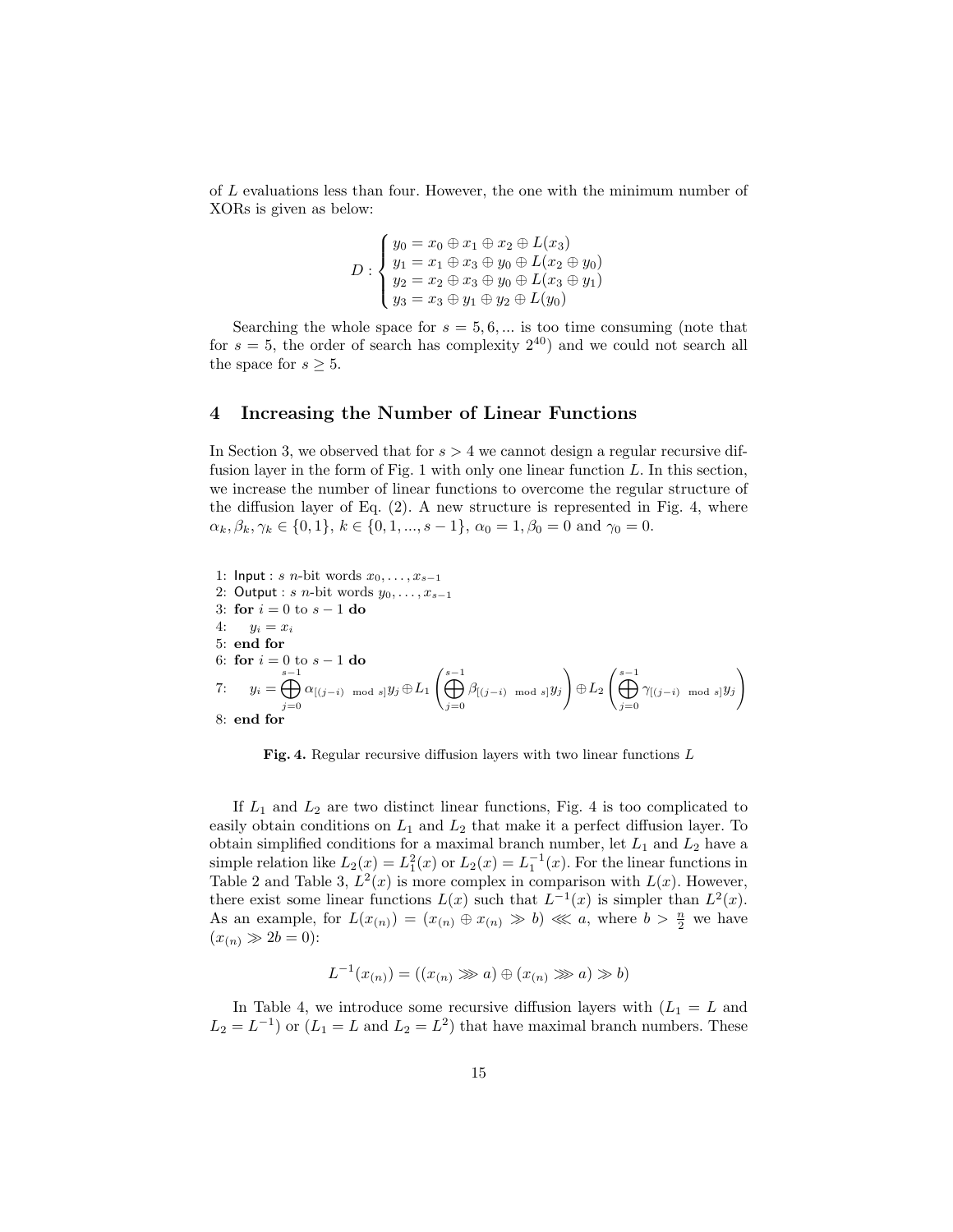of L evaluations less than four. However, the one with the minimum number of XORs is given as below:

$$
D: \begin{cases} y_0 = x_0 \oplus x_1 \oplus x_2 \oplus L(x_3) \\ y_1 = x_1 \oplus x_3 \oplus y_0 \oplus L(x_2 \oplus y_0) \\ y_2 = x_2 \oplus x_3 \oplus y_0 \oplus L(x_3 \oplus y_1) \\ y_3 = x_3 \oplus y_1 \oplus y_2 \oplus L(y_0) \end{cases}
$$

Searching the whole space for  $s = 5, 6, \dots$  is too time consuming (note that for  $s = 5$ , the order of search has complexity  $2^{40}$  and we could not search all the space for  $s \geq 5$ .

### 4 Increasing the Number of Linear Functions

In Section 3, we observed that for  $s > 4$  we cannot design a regular recursive diffusion layer in the form of Fig. 1 with only one linear function  $L$ . In this section, we increase the number of linear functions to overcome the regular structure of the diffusion layer of Eq. (2). A new structure is represented in Fig. 4, where  $\alpha_k, \beta_k, \gamma_k \in \{0, 1\}, k \in \{0, 1, ..., s - 1\}, \alpha_0 = 1, \beta_0 = 0 \text{ and } \gamma_0 = 0.$ 

1: Input : s n-bit words  $x_0, \ldots, x_{s-1}$ 2: Output : s n-bit words  $y_0, \ldots, x_{s-1}$ 3: for  $i = 0$  to  $s - 1$  do 4:  $y_i = x_i$ 5: end for 6: for  $i = 0$  to  $s - 1$  do 7:  $y_i = \bigoplus_{i=1}^{s-1}$  $j=0$  $\alpha_{[(j-i)\mod s]} y_j \! \oplus \! L_1 \Big(\bigoplus^{s-1}$  $j=0$  $\beta_{[(j-i)\mod s]}y_j$ !  $\oplus L_2\left(\bigoplus^{s-1} \right)$  $j=0$  $\gamma$ [ $(j-i) \mod s$ ] $y_j$ ! 8: end for

Fig. 4. Regular recursive diffusion layers with two linear functions L

If  $L_1$  and  $L_2$  are two distinct linear functions, Fig. 4 is too complicated to easily obtain conditions on  $L_1$  and  $L_2$  that make it a perfect diffusion layer. To obtain simplified conditions for a maximal branch number, let  $L_1$  and  $L_2$  have a simple relation like  $L_2(x) = L_1^2(x)$  or  $L_2(x) = L_1^{-1}(x)$ . For the linear functions in Table 2 and Table 3,  $L^2(x)$  is more complex in comparison with  $L(x)$ . However, there exist some linear functions  $L(x)$  such that  $L^{-1}(x)$  is simpler than  $L^2(x)$ . As an example, for  $L(x_{(n)}) = (x_{(n)} \oplus x_{(n)} \gg b) \ll a$ , where  $b > \frac{n}{2}$  we have  $(x_{(n)} \gg 2b = 0)$ :

$$
L^{-1}(x_{(n)}) = ((x_{(n)} \ggg a) \oplus (x_{(n)} \ggg a) \gg b)
$$

In Table 4, we introduce some recursive diffusion layers with  $(L_1 = L$  and  $L_2 = L^{-1}$ ) or  $(L_1 = L$  and  $L_2 = L^2$ ) that have maximal branch numbers. These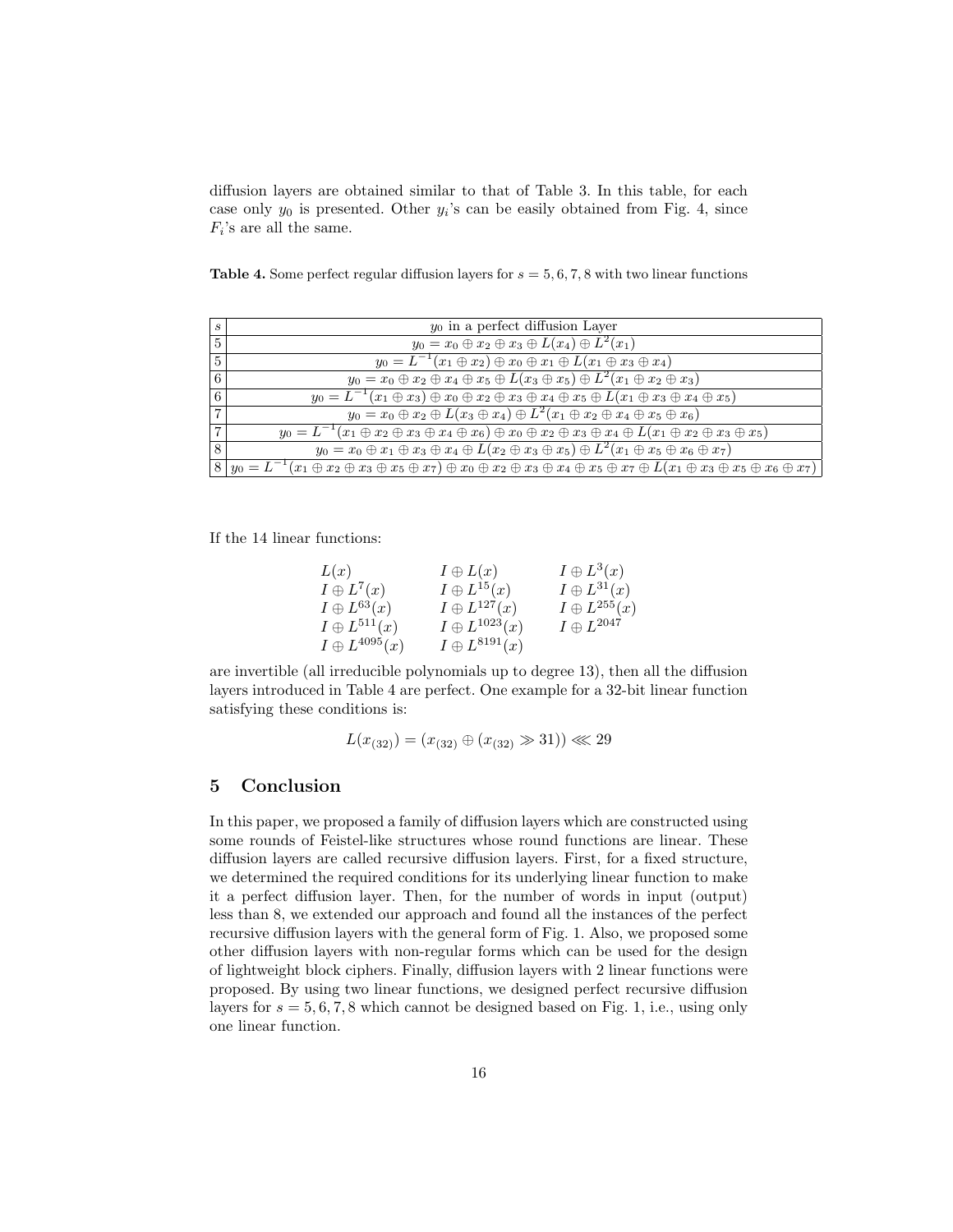diffusion layers are obtained similar to that of Table 3. In this table, for each case only  $y_0$  is presented. Other  $y_i$ 's can be easily obtained from Fig. 4, since  $F_i$ 's are all the same.

Table 4. Some perfect regular diffusion layers for  $s = 5, 6, 7, 8$  with two linear functions

| S              | $y_0$ in a perfect diffusion Layer                                                                                                                                                             |
|----------------|------------------------------------------------------------------------------------------------------------------------------------------------------------------------------------------------|
| 5              | $y_0 = x_0 \oplus x_2 \oplus x_3 \oplus L(x_4) \oplus L^2(x_1)$                                                                                                                                |
| 5              | $y_0 = L^{-1}(x_1 \oplus x_2) \oplus x_0 \oplus x_1 \oplus L(x_1 \oplus x_3 \oplus x_4)$                                                                                                       |
| 6              | $y_0 = x_0 \oplus x_2 \oplus x_4 \oplus x_5 \oplus L(x_3 \oplus x_5) \oplus L^2(x_1 \oplus x_2 \oplus x_3)$                                                                                    |
| 6              | $y_0 = L^{-1}(x_1 \oplus x_3) \oplus x_0 \oplus x_2 \oplus x_3 \oplus x_4 \oplus x_5 \oplus L(x_1 \oplus x_3 \oplus x_4 \oplus x_5)$                                                           |
| $\overline{7}$ | $y_0 = x_0 \oplus x_2 \oplus L(x_3 \oplus x_4) \oplus L^2(x_1 \oplus x_2 \oplus x_4 \oplus x_5 \oplus x_6)$                                                                                    |
| 7              | $y_0 = L^{-1}(x_1 \oplus x_2 \oplus x_3 \oplus x_4 \oplus x_6) \oplus x_0 \oplus x_2 \oplus x_3 \oplus x_4 \oplus L(x_1 \oplus x_2 \oplus x_3 \oplus x_5)$                                     |
| 8              | $y_0 = x_0 \oplus x_1 \oplus x_3 \oplus x_4 \oplus L(x_2 \oplus x_3 \oplus x_5) \oplus L^2(x_1 \oplus x_5 \oplus x_6 \oplus x_7)$                                                              |
|                | $8(y_0 = L^{-1}(x_1 \oplus x_2 \oplus x_3 \oplus x_5 \oplus x_7) \oplus x_0 \oplus x_2 \oplus x_3 \oplus x_4 \oplus x_5 \oplus x_7 \oplus L(x_1 \oplus x_3 \oplus x_5 \oplus x_6 \oplus x_7))$ |

If the 14 linear functions:

| L(x)                   | $I\oplus L(x)$         | $I \oplus L^3(x)$     |
|------------------------|------------------------|-----------------------|
| $I \oplus L^7(x)$      | $I \oplus L^{15}(x)$   | $I \oplus L^{31}(x)$  |
| $I\oplus L^{63}(x)$    | $I \oplus L^{127}(x)$  | $I \oplus L^{255}(x)$ |
| $I \oplus L^{511}(x)$  | $I \oplus L^{1023}(x)$ | $I\oplus L^{2047}$    |
| $I \oplus L^{4095}(x)$ | $I \oplus L^{8191}(x)$ |                       |

are invertible (all irreducible polynomials up to degree 13), then all the diffusion layers introduced in Table 4 are perfect. One example for a 32-bit linear function satisfying these conditions is:

$$
L(x_{(32)}) = (x_{(32)} \oplus (x_{(32)} \gg 31)) \ll 29
$$

# 5 Conclusion

In this paper, we proposed a family of diffusion layers which are constructed using some rounds of Feistel-like structures whose round functions are linear. These diffusion layers are called recursive diffusion layers. First, for a fixed structure, we determined the required conditions for its underlying linear function to make it a perfect diffusion layer. Then, for the number of words in input (output) less than 8, we extended our approach and found all the instances of the perfect recursive diffusion layers with the general form of Fig. 1. Also, we proposed some other diffusion layers with non-regular forms which can be used for the design of lightweight block ciphers. Finally, diffusion layers with 2 linear functions were proposed. By using two linear functions, we designed perfect recursive diffusion layers for  $s = 5, 6, 7, 8$  which cannot be designed based on Fig. 1, i.e., using only one linear function.